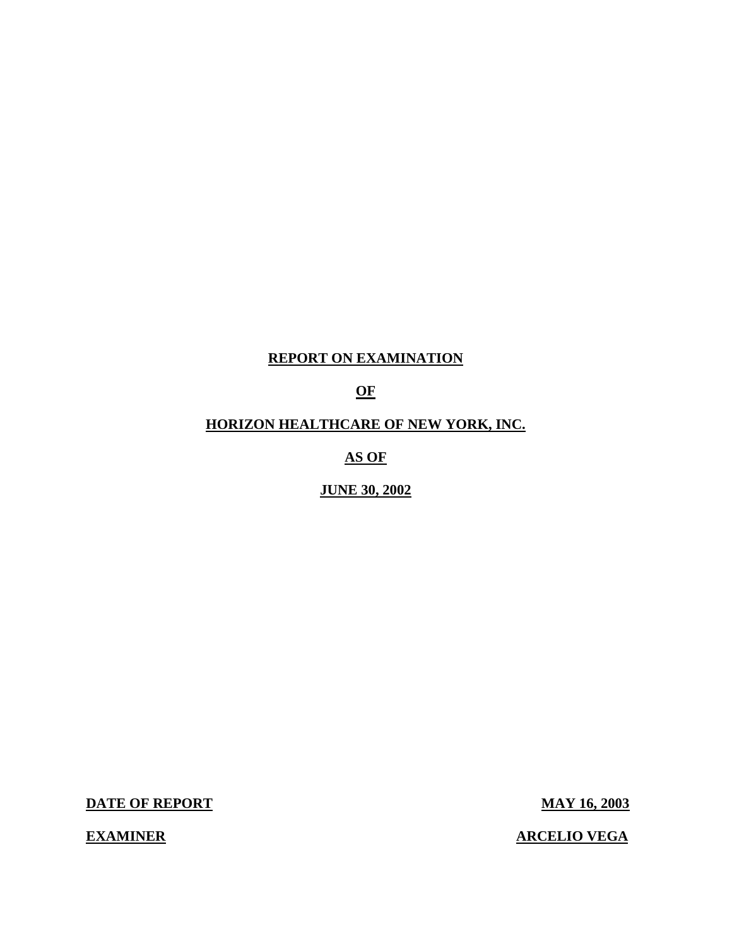## **REPORT ON EXAMINATION**

## **OF**

## **HORIZON HEALTHCARE OF NEW YORK, INC.**

**AS OF** 

**JUNE 30, 2002** 

**DATE OF REPORT MAY 16, 2003** 

**EXAMINER** 

**ARCELIO VEGA**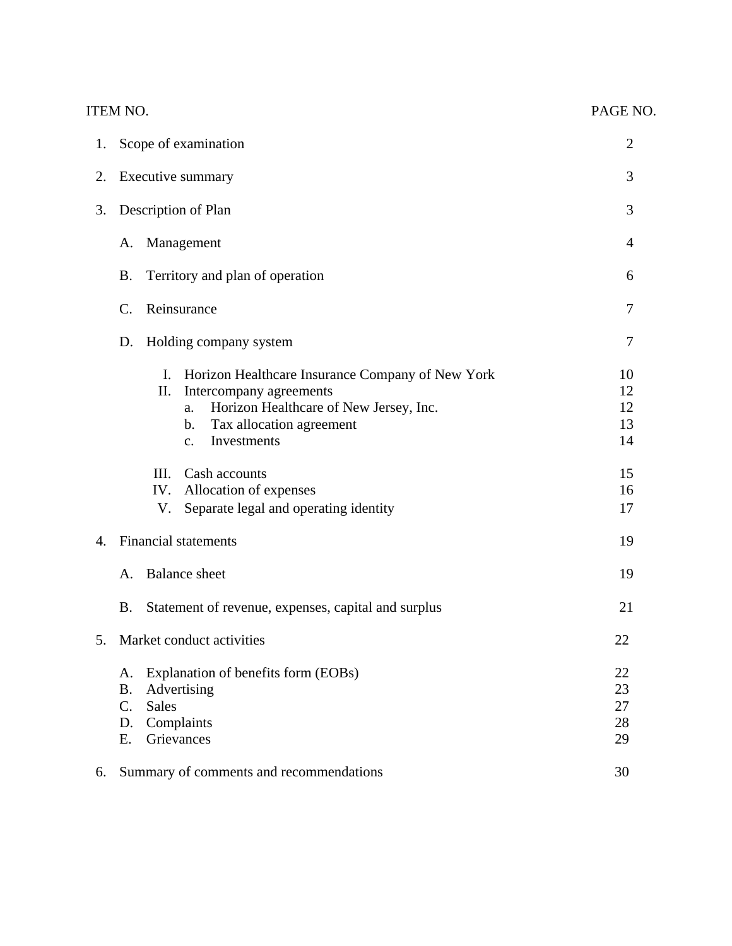|    | <b>ITEM NO.</b>                                                                                                                                                                                             | PAGE NO.                   |
|----|-------------------------------------------------------------------------------------------------------------------------------------------------------------------------------------------------------------|----------------------------|
| 1. | Scope of examination                                                                                                                                                                                        | $\overline{2}$             |
| 2. | Executive summary                                                                                                                                                                                           | 3                          |
| 3. | Description of Plan                                                                                                                                                                                         | 3                          |
|    | Management<br>A.                                                                                                                                                                                            | $\overline{4}$             |
|    | Territory and plan of operation<br><b>B.</b>                                                                                                                                                                | 6                          |
|    | Reinsurance<br>C.                                                                                                                                                                                           | 7                          |
|    | Holding company system<br>D.                                                                                                                                                                                | 7                          |
|    | Horizon Healthcare Insurance Company of New York<br>I.<br>Intercompany agreements<br>II.<br>Horizon Healthcare of New Jersey, Inc.<br>a.<br>Tax allocation agreement<br>b.<br>Investments<br>$\mathbf{c}$ . | 10<br>12<br>12<br>13<br>14 |
|    | III.<br>Cash accounts<br>IV. Allocation of expenses<br>Separate legal and operating identity<br>V.                                                                                                          | 15<br>16<br>17             |
| 4. | <b>Financial statements</b>                                                                                                                                                                                 | 19                         |
|    | <b>Balance</b> sheet<br>A.                                                                                                                                                                                  | 19                         |
|    | <b>B.</b><br>Statement of revenue, expenses, capital and surplus                                                                                                                                            | 21                         |
| 5. | Market conduct activities                                                                                                                                                                                   | 22                         |
|    | Explanation of benefits form (EOBs)<br>A.<br>Advertising<br><b>B.</b><br>$C_{\cdot}$<br><b>Sales</b><br>Complaints<br>D.<br>Grievances<br>Ε.                                                                | 22<br>23<br>27<br>28<br>29 |
| 6. | Summary of comments and recommendations                                                                                                                                                                     | 30                         |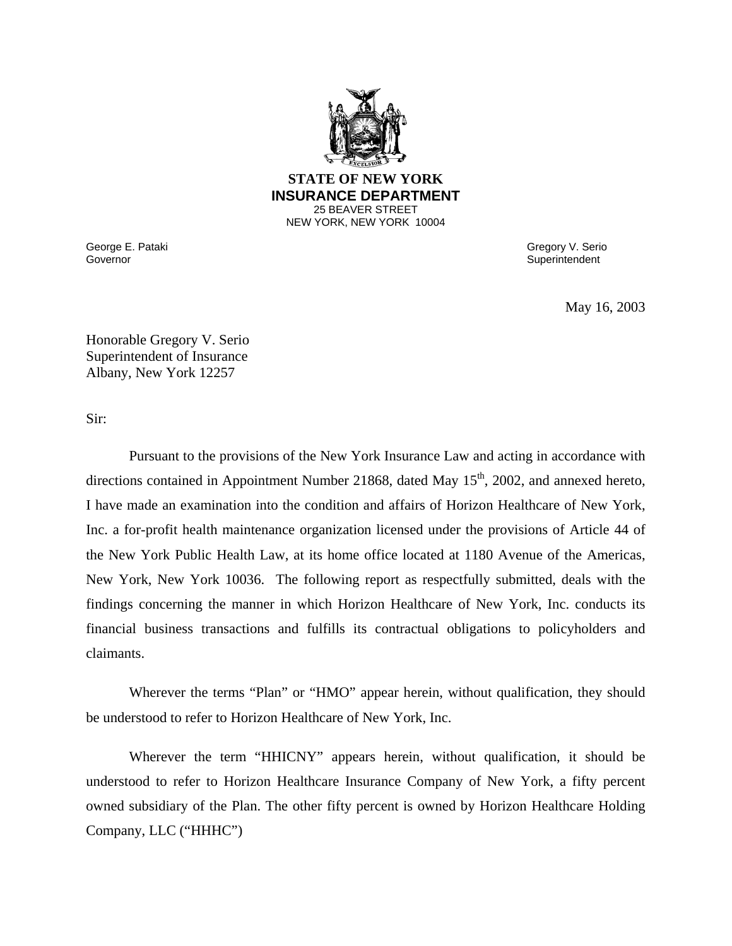

#### 25 BEAVER STREET **STATE OF NEW YORK INSURANCE DEPARTMENT**  NEW YORK, NEW YORK 10004

Governor George E. Pataki Governor Gregory V. Serio

**Superintendent** 

May 16, 2003

Honorable Gregory V. Serio Superintendent of Insurance Albany, New York 12257

Sir:

Pursuant to the provisions of the New York Insurance Law and acting in accordance with directions contained in Appointment Number 21868, dated May 15<sup>th</sup>, 2002, and annexed hereto, I have made an examination into the condition and affairs of Horizon Healthcare of New York, Inc. a for-profit health maintenance organization licensed under the provisions of Article 44 of the New York Public Health Law, at its home office located at 1180 Avenue of the Americas, New York, New York 10036. The following report as respectfully submitted, deals with the findings concerning the manner in which Horizon Healthcare of New York, Inc. conducts its financial business transactions and fulfills its contractual obligations to policyholders and claimants.

Wherever the terms "Plan" or "HMO" appear herein, without qualification, they should be understood to refer to Horizon Healthcare of New York, Inc.

Wherever the term "HHICNY" appears herein, without qualification, it should be understood to refer to Horizon Healthcare Insurance Company of New York, a fifty percent owned subsidiary of the Plan. The other fifty percent is owned by Horizon Healthcare Holding Company, LLC ("HHHC")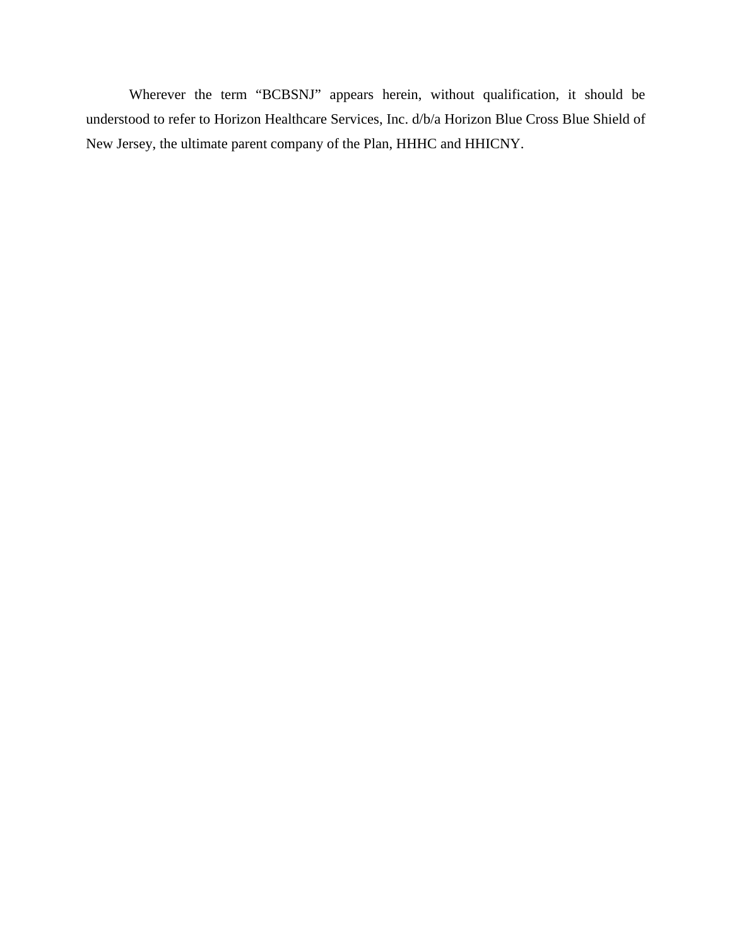Wherever the term "BCBSNJ" appears herein, without qualification, it should be understood to refer to Horizon Healthcare Services, Inc. d/b/a Horizon Blue Cross Blue Shield of New Jersey, the ultimate parent company of the Plan, HHHC and HHICNY.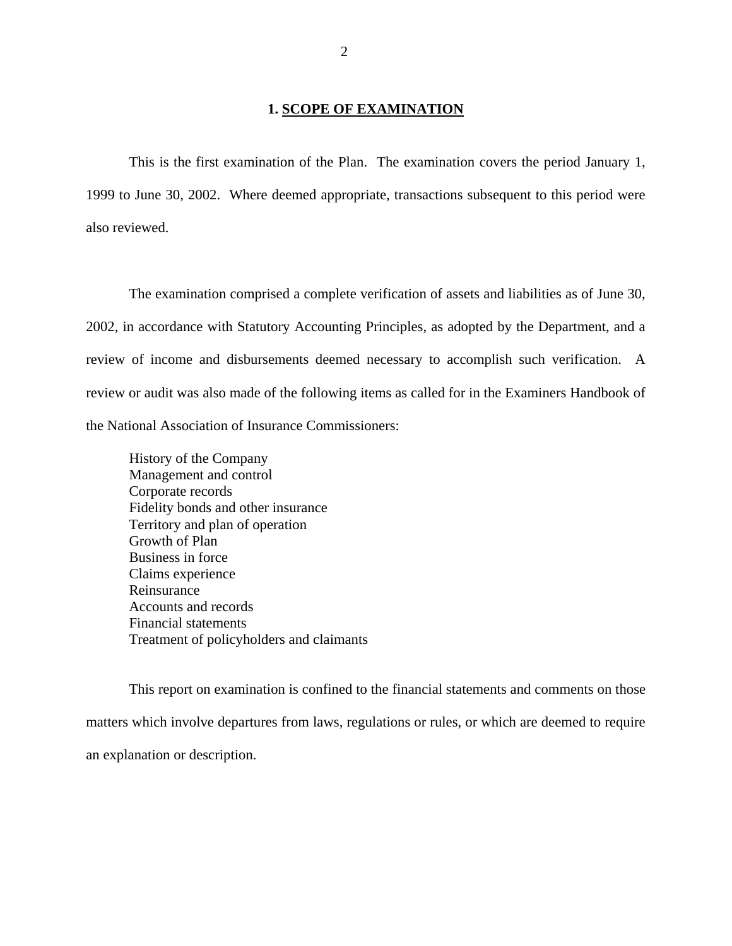#### **1. SCOPE OF EXAMINATION**

This is the first examination of the Plan. The examination covers the period January 1, 1999 to June 30, 2002. Where deemed appropriate, transactions subsequent to this period were also reviewed.

The examination comprised a complete verification of assets and liabilities as of June 30, 2002, in accordance with Statutory Accounting Principles, as adopted by the Department, and a review of income and disbursements deemed necessary to accomplish such verification. A review or audit was also made of the following items as called for in the Examiners Handbook of the National Association of Insurance Commissioners:

History of the Company Management and control Corporate records Fidelity bonds and other insurance Territory and plan of operation Growth of Plan Business in force Claims experience Reinsurance Accounts and records Financial statements Treatment of policyholders and claimants

This report on examination is confined to the financial statements and comments on those matters which involve departures from laws, regulations or rules, or which are deemed to require an explanation or description.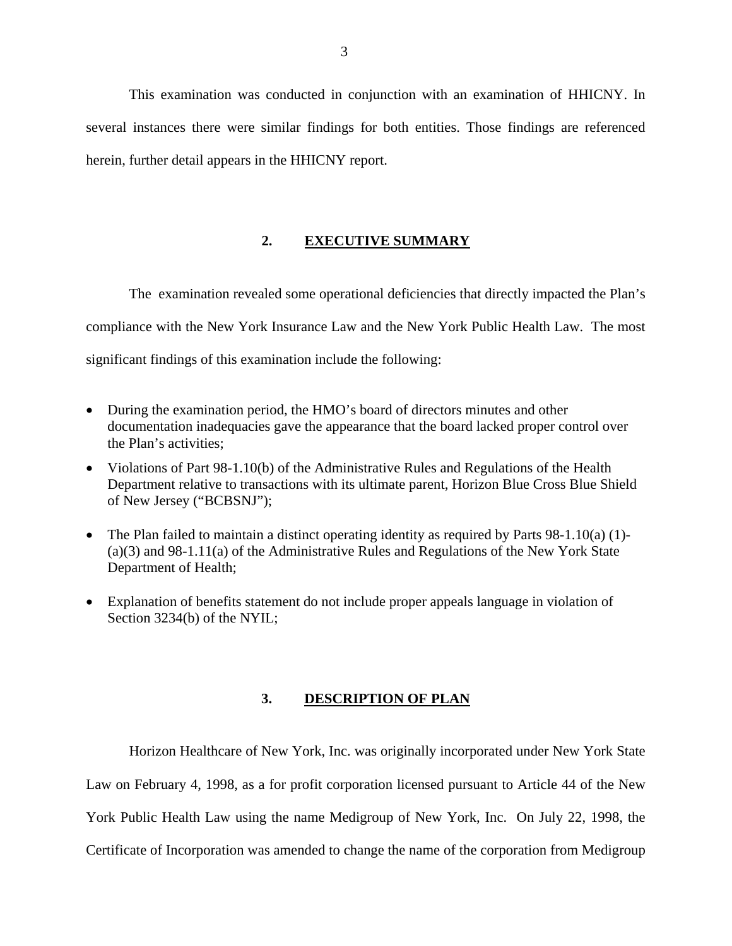This examination was conducted in conjunction with an examination of HHICNY. In several instances there were similar findings for both entities. Those findings are referenced herein, further detail appears in the HHICNY report.

## **2. EXECUTIVE SUMMARY**

The examination revealed some operational deficiencies that directly impacted the Plan's compliance with the New York Insurance Law and the New York Public Health Law. The most significant findings of this examination include the following:

- During the examination period, the HMO's board of directors minutes and other documentation inadequacies gave the appearance that the board lacked proper control over the Plan's activities;
- Violations of Part 98-1.10(b) of the Administrative Rules and Regulations of the Health Department relative to transactions with its ultimate parent, Horizon Blue Cross Blue Shield of New Jersey ("BCBSNJ");
- The Plan failed to maintain a distinct operating identity as required by Parts 98-1.10(a) (1)-(a)(3) and 98-1.11(a) of the Administrative Rules and Regulations of the New York State Department of Health;
- Explanation of benefits statement do not include proper appeals language in violation of Section 3234(b) of the NYIL;

## **3. DESCRIPTION OF PLAN**

Horizon Healthcare of New York, Inc. was originally incorporated under New York State Law on February 4, 1998, as a for profit corporation licensed pursuant to Article 44 of the New York Public Health Law using the name Medigroup of New York, Inc. On July 22, 1998, the Certificate of Incorporation was amended to change the name of the corporation from Medigroup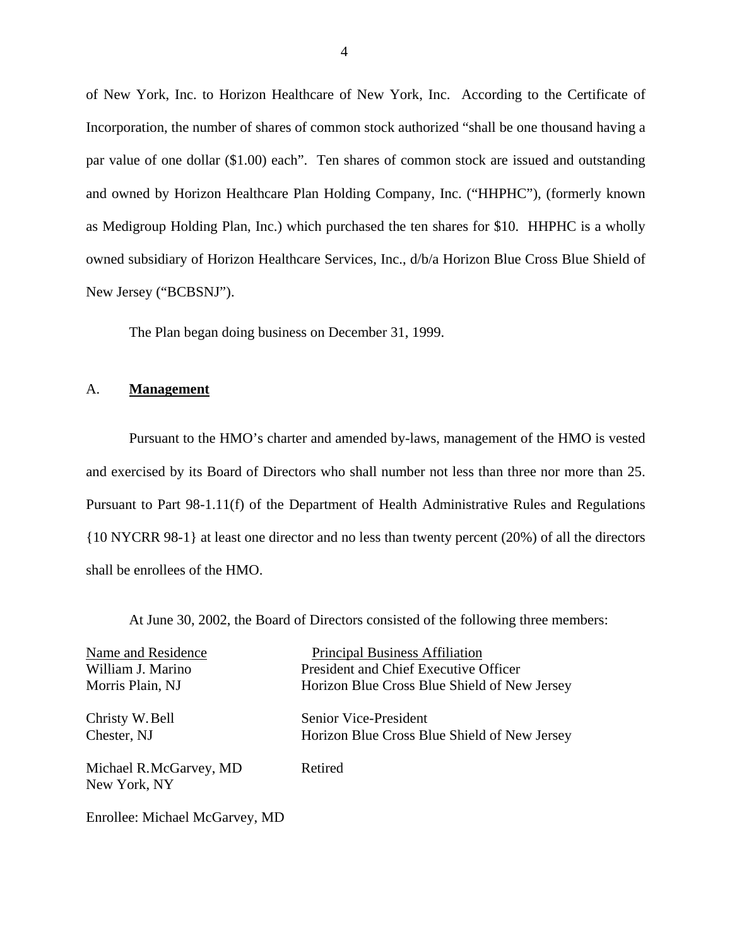of New York, Inc. to Horizon Healthcare of New York, Inc. According to the Certificate of Incorporation, the number of shares of common stock authorized "shall be one thousand having a par value of one dollar (\$1.00) each". Ten shares of common stock are issued and outstanding and owned by Horizon Healthcare Plan Holding Company, Inc. ("HHPHC"), (formerly known as Medigroup Holding Plan, Inc.) which purchased the ten shares for \$10. HHPHC is a wholly owned subsidiary of Horizon Healthcare Services, Inc., d/b/a Horizon Blue Cross Blue Shield of New Jersey ("BCBSNJ").

The Plan began doing business on December 31, 1999.

## A. **Management**

Pursuant to the HMO's charter and amended by-laws, management of the HMO is vested and exercised by its Board of Directors who shall number not less than three nor more than 25. Pursuant to Part 98-1.11(f) of the Department of Health Administrative Rules and Regulations {10 NYCRR 98-1} at least one director and no less than twenty percent (20%) of all the directors shall be enrollees of the HMO.

At June 30, 2002, the Board of Directors consisted of the following three members:

| Name and Residence             | <b>Principal Business Affiliation</b>        |
|--------------------------------|----------------------------------------------|
| William J. Marino              | President and Chief Executive Officer        |
| Morris Plain, NJ               | Horizon Blue Cross Blue Shield of New Jersey |
| Christy W. Bell                | Senior Vice-President                        |
| Chester, NJ                    | Horizon Blue Cross Blue Shield of New Jersey |
| Michael R.McGarvey, MD         | Retired                                      |
| New York, NY                   |                                              |
| Enrollee: Michael McGarvey, MD |                                              |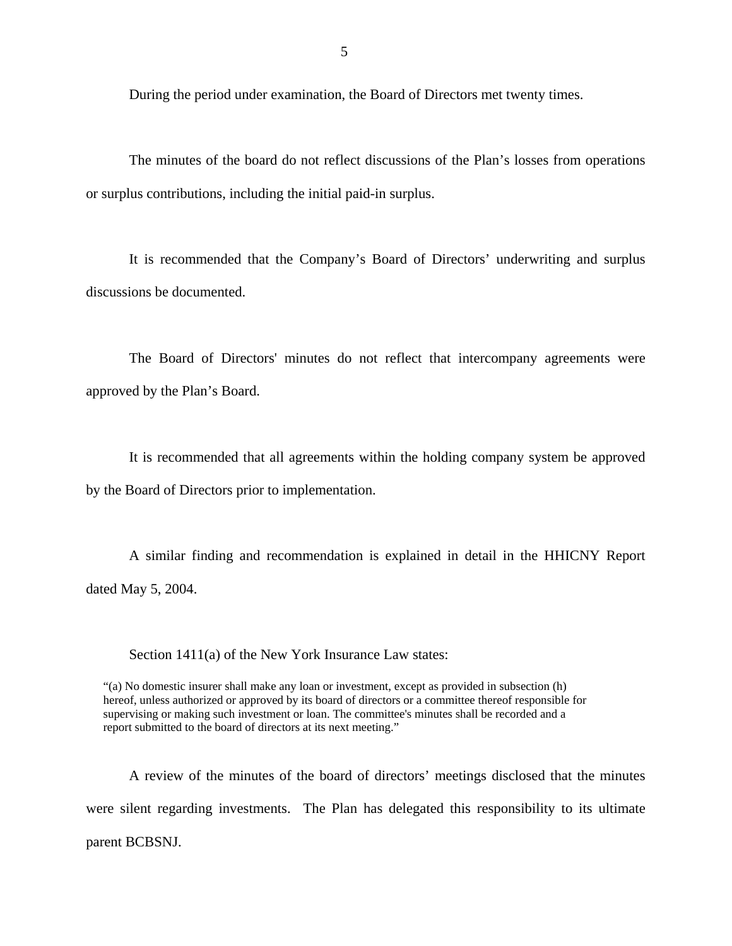During the period under examination, the Board of Directors met twenty times.

The minutes of the board do not reflect discussions of the Plan's losses from operations or surplus contributions, including the initial paid-in surplus.

It is recommended that the Company's Board of Directors' underwriting and surplus discussions be documented.

The Board of Directors' minutes do not reflect that intercompany agreements were approved by the Plan's Board.

It is recommended that all agreements within the holding company system be approved by the Board of Directors prior to implementation.

A similar finding and recommendation is explained in detail in the HHICNY Report dated May 5, 2004.

Section 1411(a) of the New York Insurance Law states:

 hereof, unless authorized or approved by its board of directors or a committee thereof responsible for "(a) No domestic insurer shall make any loan or investment, except as provided in subsection (h) supervising or making such investment or loan. The committee's minutes shall be recorded and a report submitted to the board of directors at its next meeting."

A review of the minutes of the board of directors' meetings disclosed that the minutes were silent regarding investments. The Plan has delegated this responsibility to its ultimate parent BCBSNJ.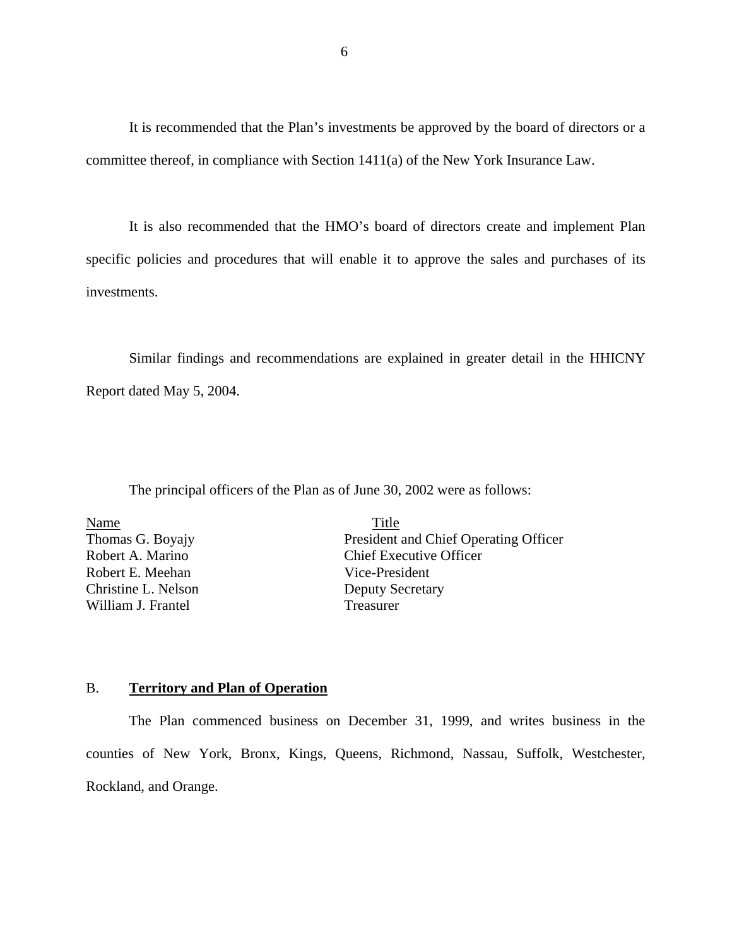It is recommended that the Plan's investments be approved by the board of directors or a committee thereof, in compliance with Section 1411(a) of the New York Insurance Law.

It is also recommended that the HMO's board of directors create and implement Plan specific policies and procedures that will enable it to approve the sales and purchases of its investments.

Similar findings and recommendations are explained in greater detail in the HHICNY Report dated May 5, 2004.

The principal officers of the Plan as of June 30, 2002 were as follows:

Robert A. Marino Name Title Robert E. Meehan Vice-President Christine L. Nelson Deputy Secretary William J. Frantel Treasurer

Thomas G. Boyajy President and Chief Operating Officer **Chief Executive Officer** 

## B. **Territory and Plan of Operation**

The Plan commenced business on December 31, 1999, and writes business in the counties of New York, Bronx, Kings, Queens, Richmond, Nassau, Suffolk, Westchester, Rockland, and Orange.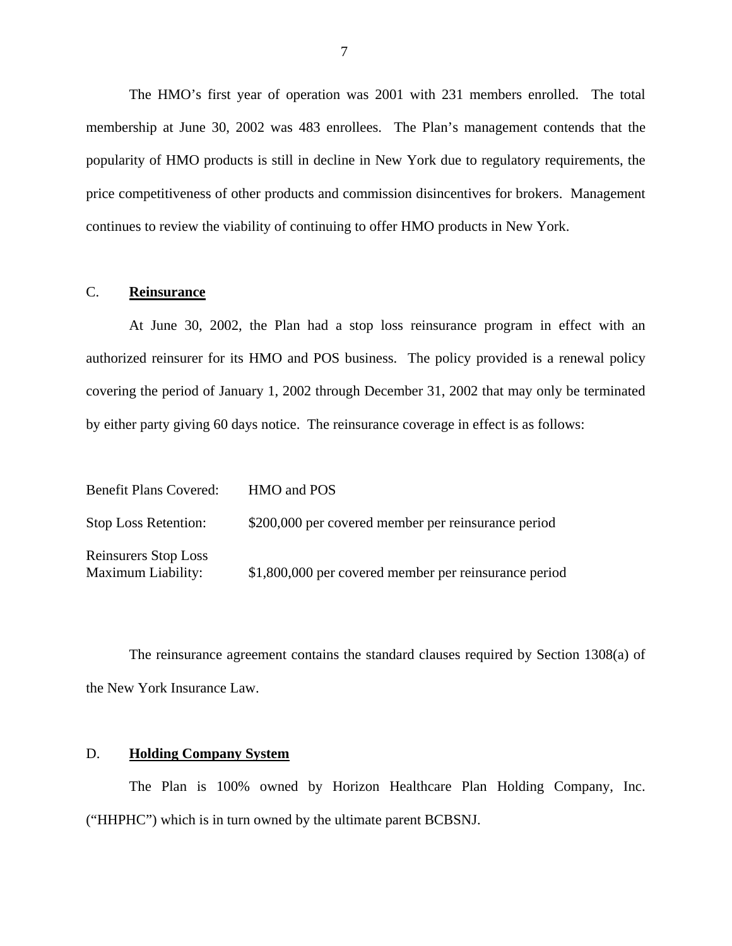The HMO's first year of operation was 2001 with 231 members enrolled. The total membership at June 30, 2002 was 483 enrollees. The Plan's management contends that the popularity of HMO products is still in decline in New York due to regulatory requirements, the price competitiveness of other products and commission disincentives for brokers. Management continues to review the viability of continuing to offer HMO products in New York.

## C. **Reinsurance**

At June 30, 2002, the Plan had a stop loss reinsurance program in effect with an authorized reinsurer for its HMO and POS business. The policy provided is a renewal policy covering the period of January 1, 2002 through December 31, 2002 that may only be terminated by either party giving 60 days notice. The reinsurance coverage in effect is as follows:

| <b>Benefit Plans Covered:</b>                     | HMO and POS                                           |
|---------------------------------------------------|-------------------------------------------------------|
| <b>Stop Loss Retention:</b>                       | \$200,000 per covered member per reinsurance period   |
| <b>Reinsurers Stop Loss</b><br>Maximum Liability: | \$1,800,000 per covered member per reinsurance period |

The reinsurance agreement contains the standard clauses required by Section 1308(a) of the New York Insurance Law.

#### D. **Holding Company System**

The Plan is 100% owned by Horizon Healthcare Plan Holding Company, Inc. ("HHPHC") which is in turn owned by the ultimate parent BCBSNJ.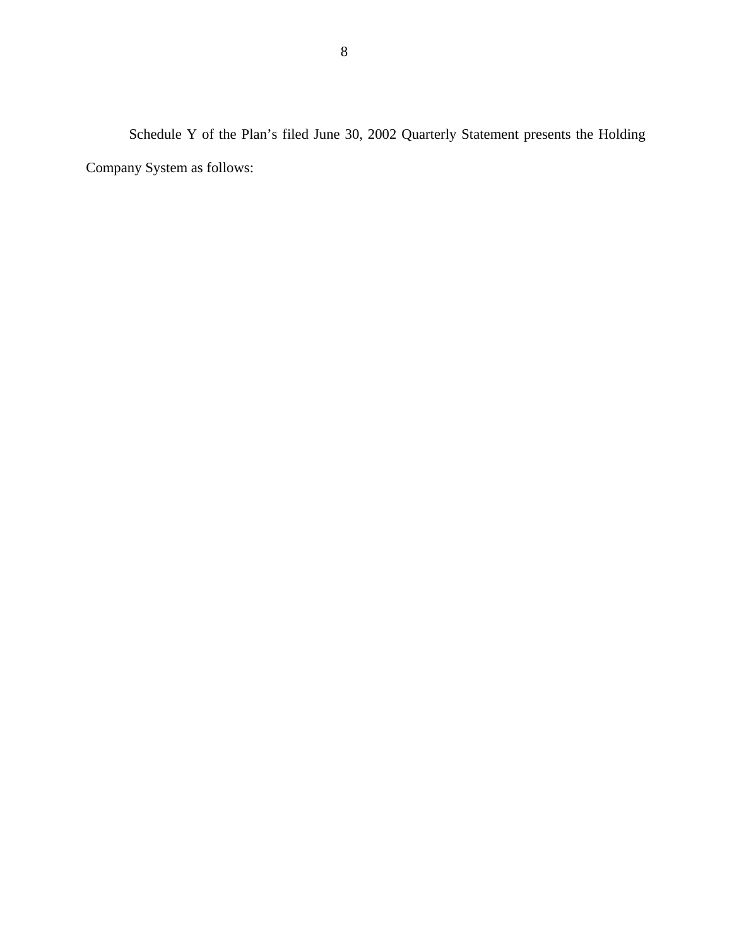Schedule Y of the Plan's filed June 30, 2002 Quarterly Statement presents the Holding Company System as follows: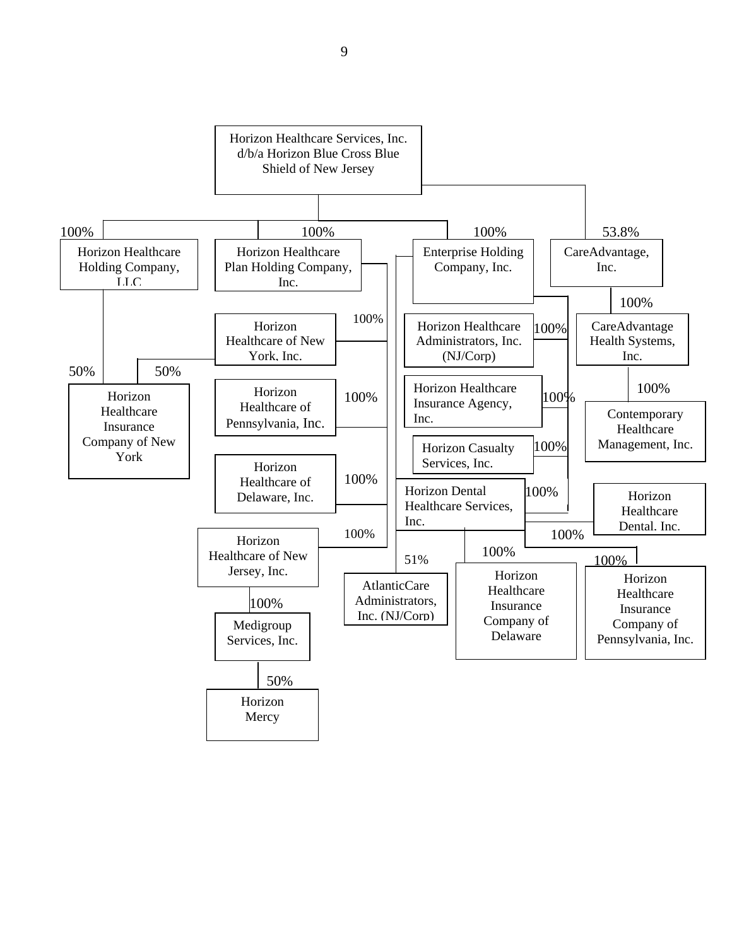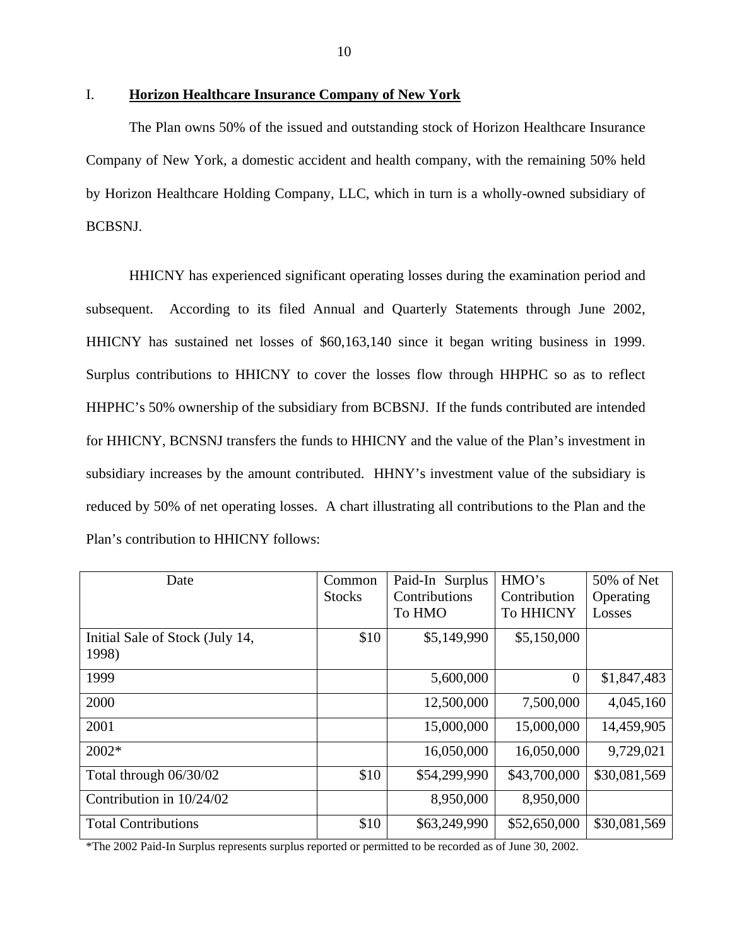## I. **Horizon Healthcare Insurance Company of New York**

The Plan owns 50% of the issued and outstanding stock of Horizon Healthcare Insurance Company of New York, a domestic accident and health company, with the remaining 50% held by Horizon Healthcare Holding Company, LLC, which in turn is a wholly-owned subsidiary of BCBSNJ.

HHICNY has experienced significant operating losses during the examination period and subsequent. According to its filed Annual and Quarterly Statements through June 2002, HHICNY has sustained net losses of \$60,163,140 since it began writing business in 1999. Surplus contributions to HHICNY to cover the losses flow through HHPHC so as to reflect HHPHC's 50% ownership of the subsidiary from BCBSNJ. If the funds contributed are intended for HHICNY, BCNSNJ transfers the funds to HHICNY and the value of the Plan's investment in subsidiary increases by the amount contributed. HHNY's investment value of the subsidiary is reduced by 50% of net operating losses. A chart illustrating all contributions to the Plan and the Plan's contribution to HHICNY follows:

| Date                            | Common        | Paid-In Surplus | HMO's          | 50% of Net   |
|---------------------------------|---------------|-----------------|----------------|--------------|
|                                 | <b>Stocks</b> | Contributions   | Contribution   | Operating    |
|                                 |               | To HMO          | To HHICNY      | Losses       |
| Initial Sale of Stock (July 14, | \$10          | \$5,149,990     | \$5,150,000    |              |
| 1998)                           |               |                 |                |              |
| 1999                            |               | 5,600,000       | $\overline{0}$ | \$1,847,483  |
| 2000                            |               | 12,500,000      | 7,500,000      | 4,045,160    |
| 2001                            |               | 15,000,000      | 15,000,000     | 14,459,905   |
| 2002*                           |               | 16,050,000      | 16,050,000     | 9,729,021    |
| Total through 06/30/02          | \$10          | \$54,299,990    | \$43,700,000   | \$30,081,569 |
| Contribution in 10/24/02        |               | 8,950,000       | 8,950,000      |              |
| <b>Total Contributions</b>      | \$10          | \$63,249,990    | \$52,650,000   | \$30,081,569 |

\*The 2002 Paid-In Surplus represents surplus reported or permitted to be recorded as of June 30, 2002.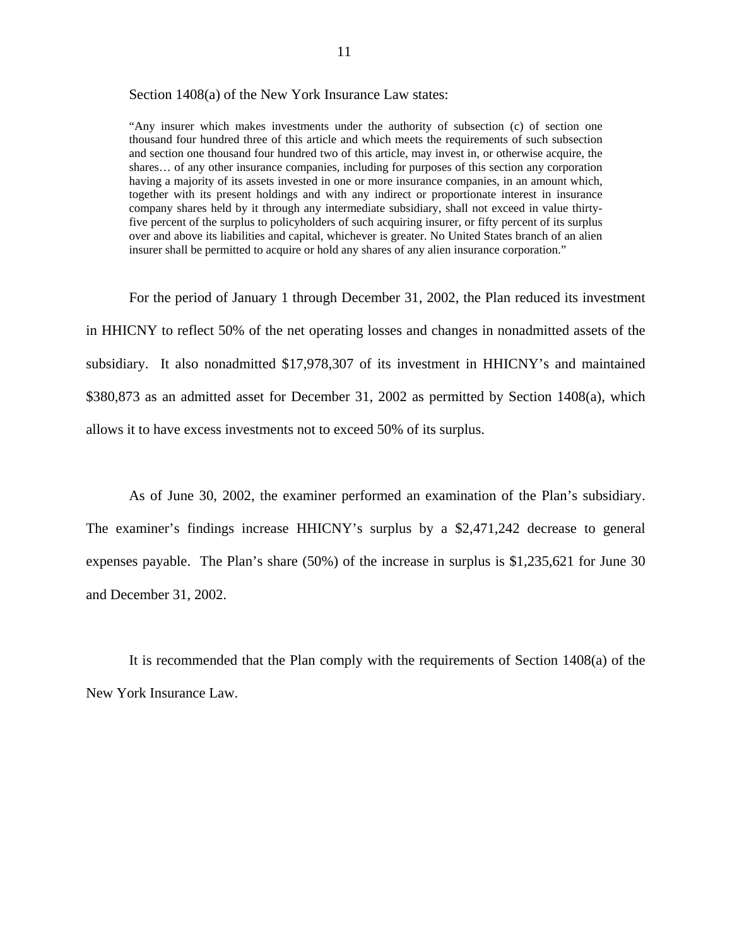Section 1408(a) of the New York Insurance Law states:

 thousand four hundred three of this article and which meets the requirements of such subsection five percent of the surplus to policyholders of such acquiring insurer, or fifty percent of its surplus over and above its liabilities and capital, whichever is greater. No United States branch of an alien insurer shall be permitted to acquire or hold any shares of any alien insurance corporation." "Any insurer which makes investments under the authority of subsection (c) of section one and section one thousand four hundred two of this article, may invest in, or otherwise acquire, the shares… of any other insurance companies, including for purposes of this section any corporation having a majority of its assets invested in one or more insurance companies, in an amount which, together with its present holdings and with any indirect or proportionate interest in insurance company shares held by it through any intermediate subsidiary, shall not exceed in value thirty-

For the period of January 1 through December 31, 2002, the Plan reduced its investment in HHICNY to reflect 50% of the net operating losses and changes in nonadmitted assets of the subsidiary. It also nonadmitted \$17,978,307 of its investment in HHICNY's and maintained \$380,873 as an admitted asset for December 31, 2002 as permitted by Section 1408(a), which allows it to have excess investments not to exceed 50% of its surplus.

As of June 30, 2002, the examiner performed an examination of the Plan's subsidiary. The examiner's findings increase HHICNY's surplus by a \$2,471,242 decrease to general expenses payable. The Plan's share (50%) of the increase in surplus is \$1,235,621 for June 30 and December 31, 2002.

It is recommended that the Plan comply with the requirements of Section 1408(a) of the New York Insurance Law.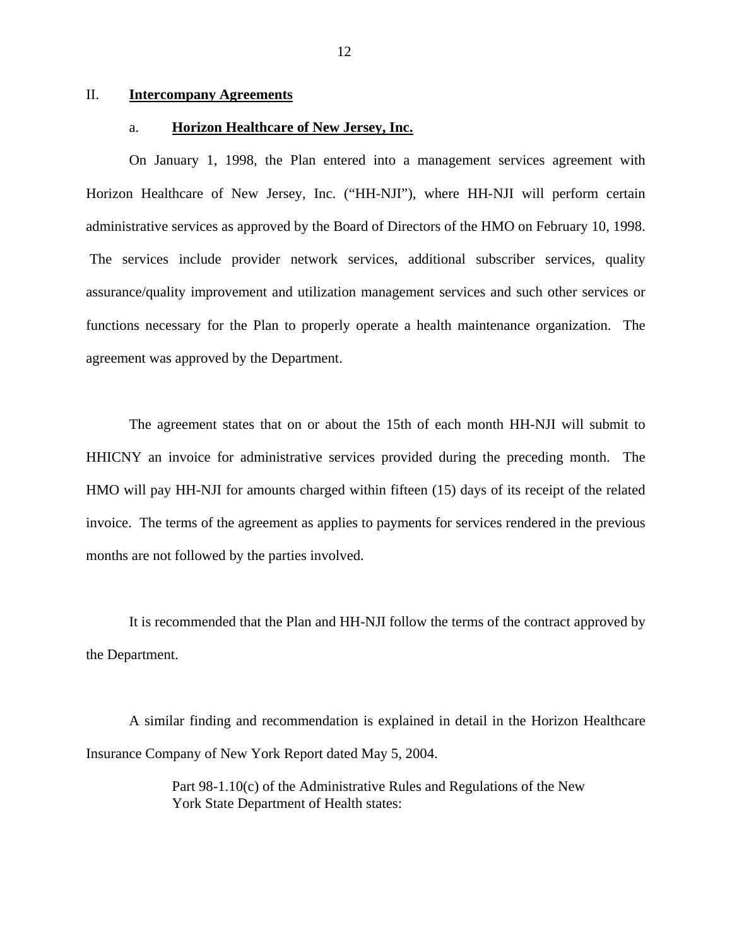## II. **Intercompany Agreements**

#### a. **Horizon Healthcare of New Jersey, Inc.**

On January 1, 1998, the Plan entered into a management services agreement with Horizon Healthcare of New Jersey, Inc. ("HH-NJI"), where HH-NJI will perform certain administrative services as approved by the Board of Directors of the HMO on February 10, 1998. The services include provider network services, additional subscriber services, quality assurance/quality improvement and utilization management services and such other services or functions necessary for the Plan to properly operate a health maintenance organization. The agreement was approved by the Department.

The agreement states that on or about the 15th of each month HH-NJI will submit to HHICNY an invoice for administrative services provided during the preceding month. The HMO will pay HH-NJI for amounts charged within fifteen (15) days of its receipt of the related invoice. The terms of the agreement as applies to payments for services rendered in the previous months are not followed by the parties involved.

It is recommended that the Plan and HH-NJI follow the terms of the contract approved by the Department.

A similar finding and recommendation is explained in detail in the Horizon Healthcare Insurance Company of New York Report dated May 5, 2004.

> Part 98-1.10(c) of the Administrative Rules and Regulations of the New York State Department of Health states: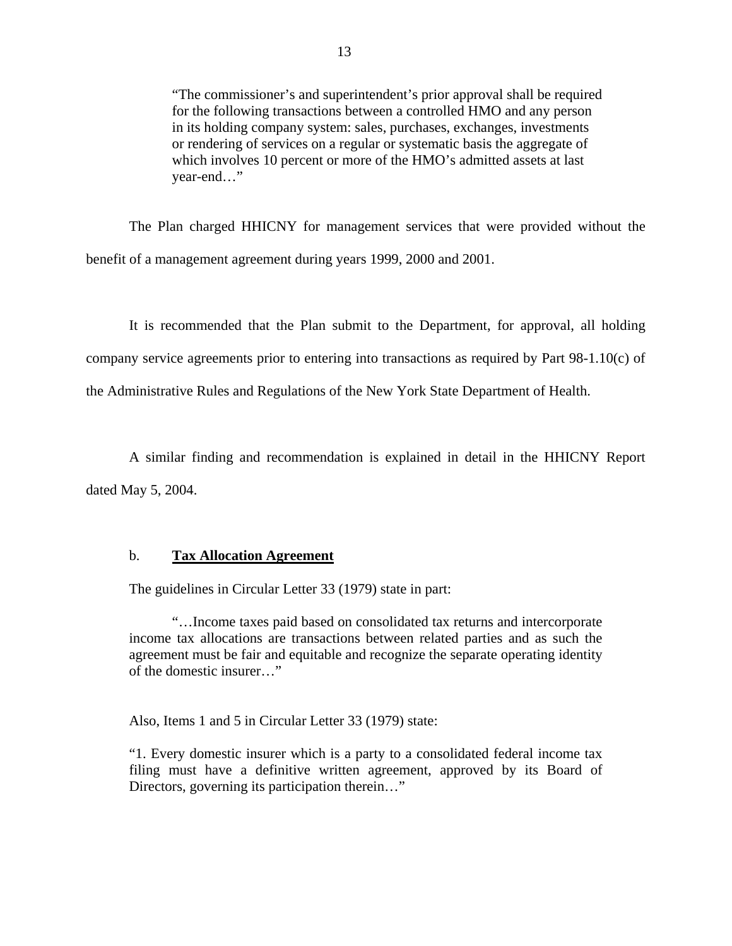"The commissioner's and superintendent's prior approval shall be required for the following transactions between a controlled HMO and any person in its holding company system: sales, purchases, exchanges, investments or rendering of services on a regular or systematic basis the aggregate of which involves 10 percent or more of the HMO's admitted assets at last year-end…"

The Plan charged HHICNY for management services that were provided without the benefit of a management agreement during years 1999, 2000 and 2001.

It is recommended that the Plan submit to the Department, for approval, all holding company service agreements prior to entering into transactions as required by Part 98-1.10(c) of the Administrative Rules and Regulations of the New York State Department of Health.

A similar finding and recommendation is explained in detail in the HHICNY Report dated May 5, 2004.

### b. **Tax Allocation Agreement**

The guidelines in Circular Letter 33 (1979) state in part:

"…Income taxes paid based on consolidated tax returns and intercorporate income tax allocations are transactions between related parties and as such the agreement must be fair and equitable and recognize the separate operating identity of the domestic insurer…"

Also, Items 1 and 5 in Circular Letter 33 (1979) state:

"1. Every domestic insurer which is a party to a consolidated federal income tax filing must have a definitive written agreement, approved by its Board of Directors, governing its participation therein..."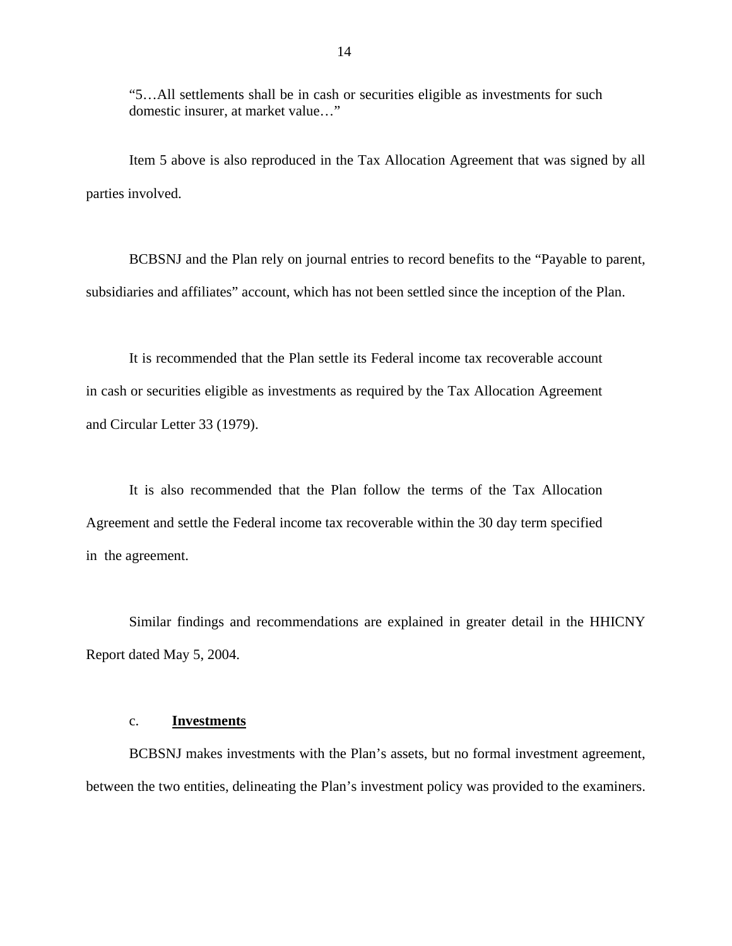"5…All settlements shall be in cash or securities eligible as investments for such domestic insurer, at market value…"

Item 5 above is also reproduced in the Tax Allocation Agreement that was signed by all parties involved.

BCBSNJ and the Plan rely on journal entries to record benefits to the "Payable to parent, subsidiaries and affiliates" account, which has not been settled since the inception of the Plan.

It is recommended that the Plan settle its Federal income tax recoverable account in cash or securities eligible as investments as required by the Tax Allocation Agreement and Circular Letter 33 (1979).

It is also recommended that the Plan follow the terms of the Tax Allocation Agreement and settle the Federal income tax recoverable within the 30 day term specified in the agreement.

Similar findings and recommendations are explained in greater detail in the HHICNY Report dated May 5, 2004.

#### c. **Investments**

BCBSNJ makes investments with the Plan's assets, but no formal investment agreement, between the two entities, delineating the Plan's investment policy was provided to the examiners.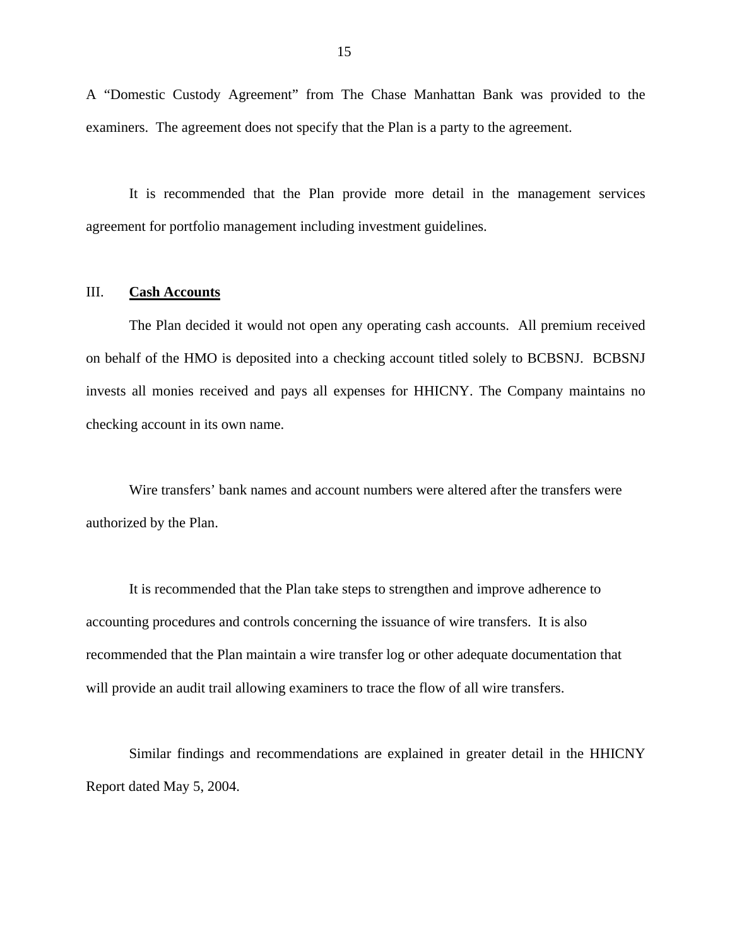A "Domestic Custody Agreement" from The Chase Manhattan Bank was provided to the examiners. The agreement does not specify that the Plan is a party to the agreement.

It is recommended that the Plan provide more detail in the management services agreement for portfolio management including investment guidelines.

## III. **Cash Accounts**

The Plan decided it would not open any operating cash accounts. All premium received on behalf of the HMO is deposited into a checking account titled solely to BCBSNJ. BCBSNJ invests all monies received and pays all expenses for HHICNY. The Company maintains no checking account in its own name.

Wire transfers' bank names and account numbers were altered after the transfers were authorized by the Plan.

It is recommended that the Plan take steps to strengthen and improve adherence to accounting procedures and controls concerning the issuance of wire transfers. It is also recommended that the Plan maintain a wire transfer log or other adequate documentation that will provide an audit trail allowing examiners to trace the flow of all wire transfers.

Similar findings and recommendations are explained in greater detail in the HHICNY Report dated May 5, 2004.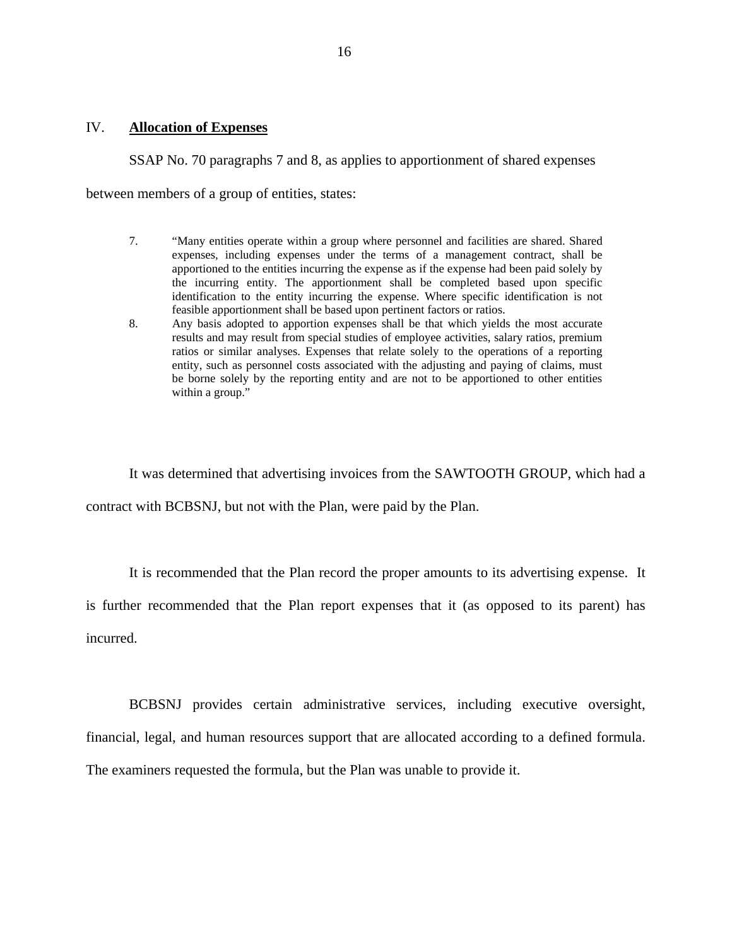## IV. **Allocation of Expenses**

SSAP No. 70 paragraphs 7 and 8, as applies to apportionment of shared expenses

between members of a group of entities, states:

- feasible apportionment shall be based upon pertinent factors or ratios. 7. "Many entities operate within a group where personnel and facilities are shared. Shared expenses, including expenses under the terms of a management contract, shall be apportioned to the entities incurring the expense as if the expense had been paid solely by the incurring entity. The apportionment shall be completed based upon specific identification to the entity incurring the expense. Where specific identification is not
- 8. Any basis adopted to apportion expenses shall be that which yields the most accurate results and may result from special studies of employee activities, salary ratios, premium ratios or similar analyses. Expenses that relate solely to the operations of a reporting entity, such as personnel costs associated with the adjusting and paying of claims, must be borne solely by the reporting entity and are not to be apportioned to other entities within a group."

It was determined that advertising invoices from the SAWTOOTH GROUP, which had a contract with BCBSNJ, but not with the Plan, were paid by the Plan.

It is recommended that the Plan record the proper amounts to its advertising expense. It

is further recommended that the Plan report expenses that it (as opposed to its parent) has incurred.

BCBSNJ provides certain administrative services, including executive oversight, financial, legal, and human resources support that are allocated according to a defined formula. The examiners requested the formula, but the Plan was unable to provide it.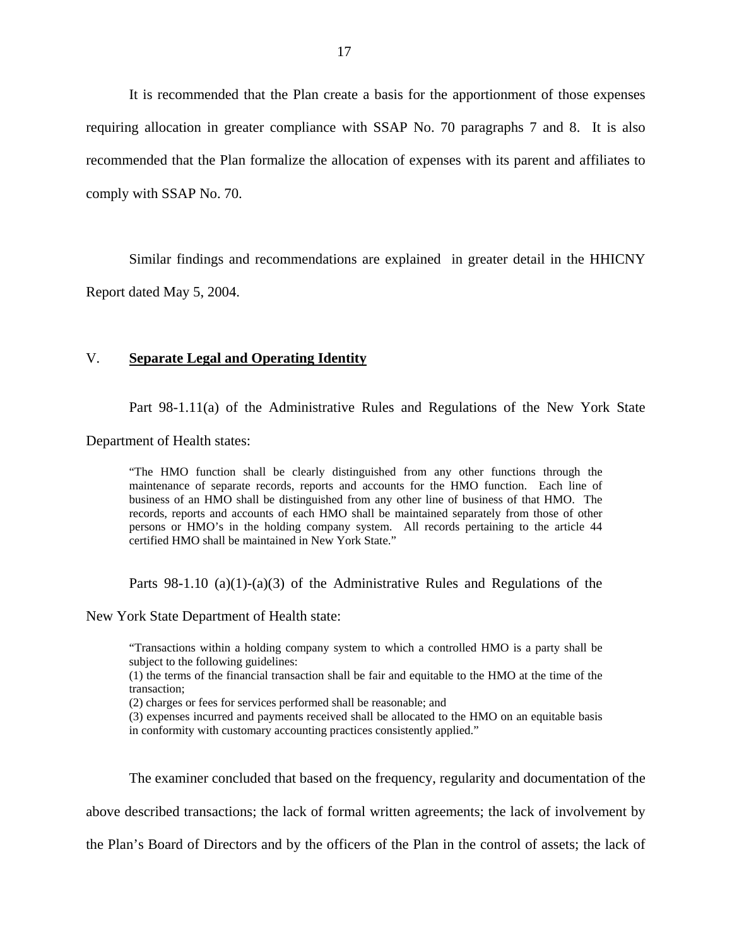It is recommended that the Plan create a basis for the apportionment of those expenses requiring allocation in greater compliance with SSAP No. 70 paragraphs 7 and 8. It is also recommended that the Plan formalize the allocation of expenses with its parent and affiliates to comply with SSAP No. 70.

Similar findings and recommendations are explained in greater detail in the HHICNY Report dated May 5, 2004.

### V. **Separate Legal and Operating Identity**

Part 98-1.11(a) of the Administrative Rules and Regulations of the New York State

Department of Health states:

"The HMO function shall be clearly distinguished from any other functions through the maintenance of separate records, reports and accounts for the HMO function. Each line of business of an HMO shall be distinguished from any other line of business of that HMO. The records, reports and accounts of each HMO shall be maintained separately from those of other persons or HMO's in the holding company system. All records pertaining to the article 44 certified HMO shall be maintained in New York State."

Parts 98-1.10 (a)(1)-(a)(3) of the Administrative Rules and Regulations of the

New York State Department of Health state:

"Transactions within a holding company system to which a controlled HMO is a party shall be subject to the following guidelines:

(1) the terms of the financial transaction shall be fair and equitable to the HMO at the time of the transaction;

(2) charges or fees for services performed shall be reasonable; and

(3) expenses incurred and payments received shall be allocated to the HMO on an equitable basis in conformity with customary accounting practices consistently applied."

The examiner concluded that based on the frequency, regularity and documentation of the

above described transactions; the lack of formal written agreements; the lack of involvement by

the Plan's Board of Directors and by the officers of the Plan in the control of assets; the lack of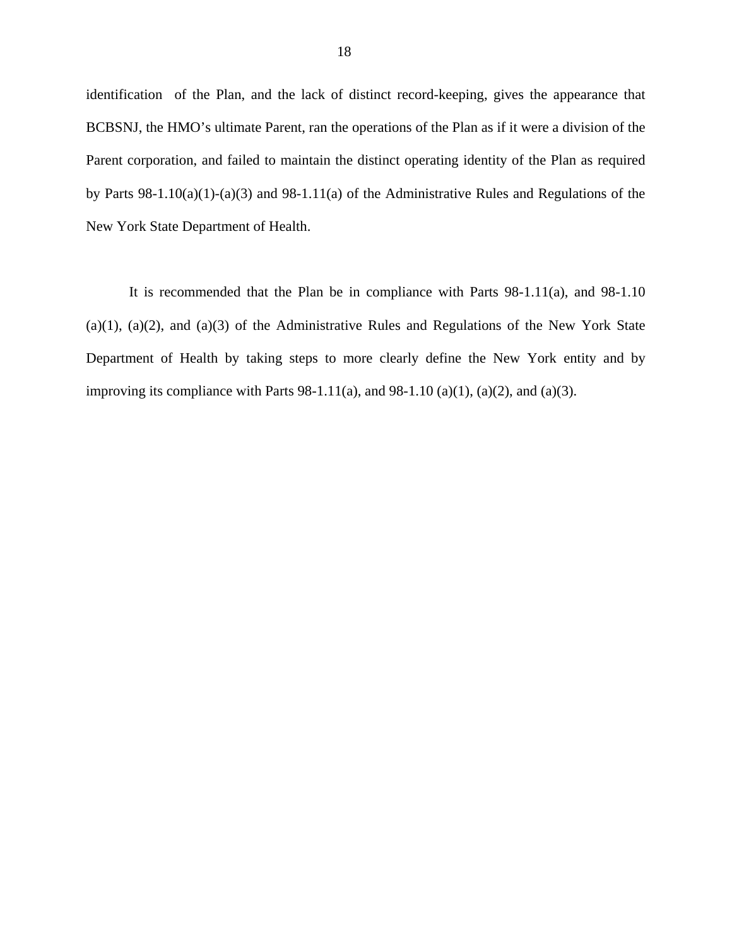identification of the Plan, and the lack of distinct record-keeping, gives the appearance that BCBSNJ, the HMO's ultimate Parent, ran the operations of the Plan as if it were a division of the Parent corporation, and failed to maintain the distinct operating identity of the Plan as required by Parts 98-1.10(a)(1)-(a)(3) and 98-1.11(a) of the Administrative Rules and Regulations of the New York State Department of Health.

It is recommended that the Plan be in compliance with Parts 98-1.11(a), and 98-1.10  $(a)(1)$ ,  $(a)(2)$ , and  $(a)(3)$  of the Administrative Rules and Regulations of the New York State Department of Health by taking steps to more clearly define the New York entity and by improving its compliance with Parts  $98-1.11(a)$ , and  $98-1.10(a)(1)$ ,  $(a)(2)$ , and  $(a)(3)$ .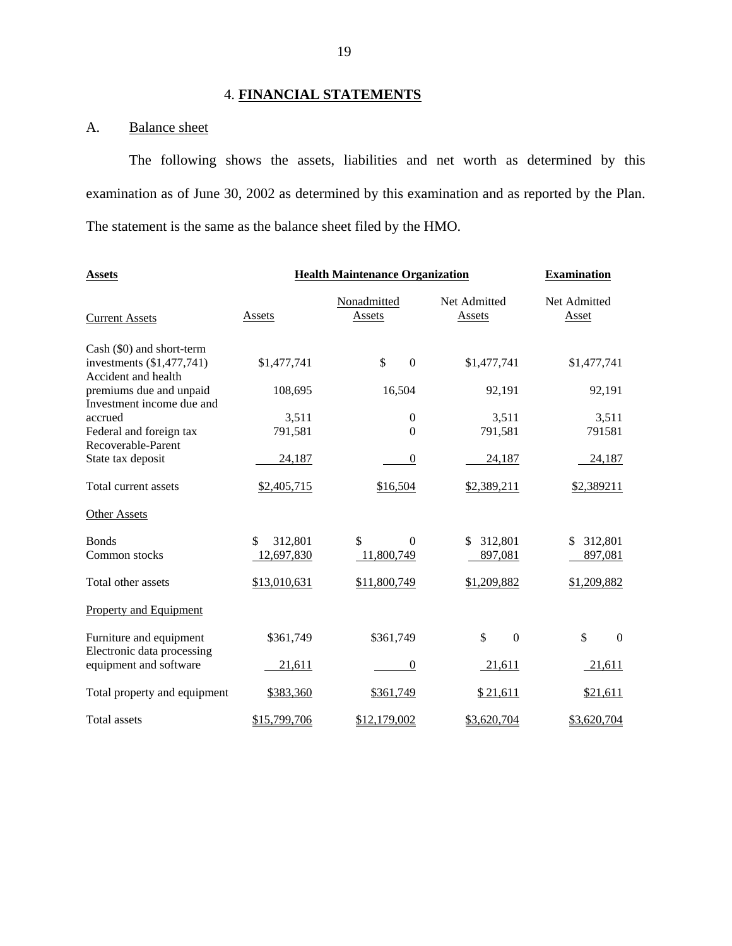## 4. **FINANCIAL STATEMENTS**

## A. Balance sheet

The following shows the assets, liabilities and net worth as determined by this examination as of June 30, 2002 as determined by this examination and as reported by the Plan. The statement is the same as the balance sheet filed by the HMO.

| <b>Assets</b>                                          | <b>Health Maintenance Organization</b> | <b>Examination</b>    |                        |                              |
|--------------------------------------------------------|----------------------------------------|-----------------------|------------------------|------------------------------|
| <b>Current Assets</b>                                  | Assets                                 | Nonadmitted<br>Assets | Net Admitted<br>Assets | Net Admitted<br><b>Asset</b> |
| Cash (\$0) and short-term<br>investments (\$1,477,741) | \$1,477,741                            | \$<br>$\Omega$        | \$1,477,741            | \$1,477,741                  |
| Accident and health                                    |                                        |                       |                        |                              |
| premiums due and unpaid<br>Investment income due and   | 108,695                                | 16,504                | 92,191                 | 92,191                       |
| accrued                                                | 3,511                                  | $\theta$              | 3,511                  | 3,511                        |
| Federal and foreign tax<br>Recoverable-Parent          | 791,581                                | $\Omega$              | 791,581                | 791581                       |
| State tax deposit                                      | 24,187                                 | $\theta$              | 24,187                 | 24,187                       |
| Total current assets                                   | \$2,405,715                            | \$16,504              | \$2,389,211            | \$2,389211                   |
| <b>Other Assets</b>                                    |                                        |                       |                        |                              |
| <b>Bonds</b>                                           | 312,801<br>\$                          | \$<br>$\Omega$        | \$ 312,801             | 312,801<br>\$                |
| Common stocks                                          | 12,697,830                             | 11,800,749            | 897,081                | 897,081                      |
| Total other assets                                     | \$13,010,631                           | \$11,800,749          | \$1,209,882            | \$1,209,882                  |
| <b>Property and Equipment</b>                          |                                        |                       |                        |                              |
| Furniture and equipment                                | \$361,749                              | \$361,749             | \$<br>$\Omega$         | \$<br>$\theta$               |
| Electronic data processing<br>equipment and software   | 21,611                                 | $\theta$              | 21,611                 | 21,611                       |
| Total property and equipment                           | \$383,360                              | \$361,749             | \$21,611               | \$21,611                     |
| Total assets                                           | \$15,799,706                           | \$12,179,002          | \$3,620,704            | \$3,620,704                  |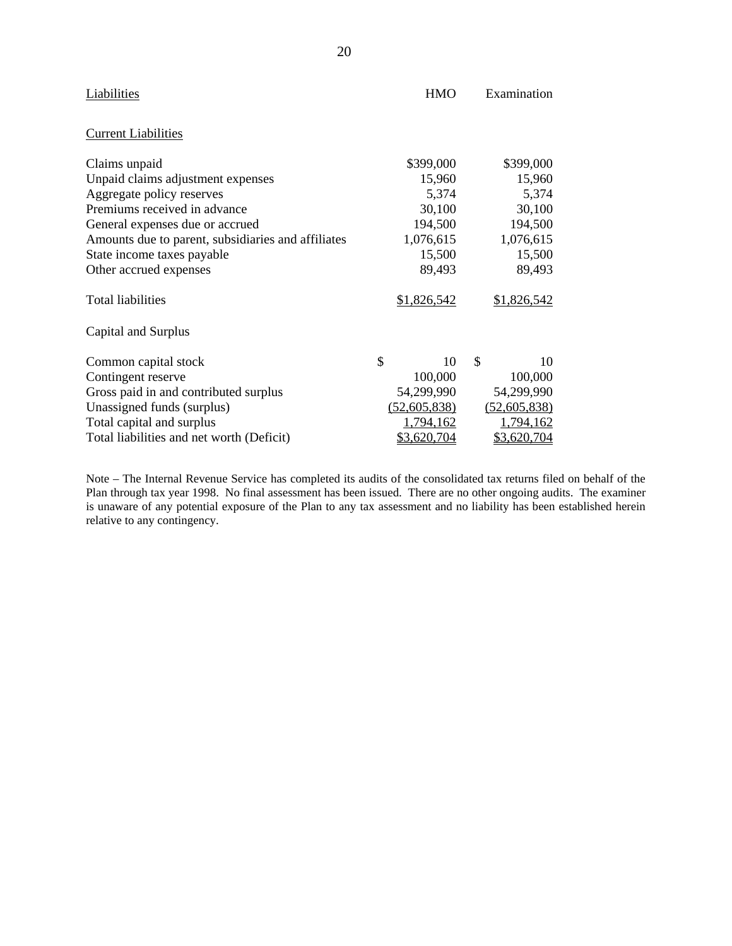| Liabilities                                        | HMO          | Examination  |
|----------------------------------------------------|--------------|--------------|
| <b>Current Liabilities</b>                         |              |              |
| Claims unpaid                                      | \$399,000    | \$399,000    |
| Unpaid claims adjustment expenses                  | 15,960       | 15,960       |
| Aggregate policy reserves                          | 5,374        | 5,374        |
| Premiums received in advance                       | 30,100       | 30,100       |
| General expenses due or accrued                    | 194,500      | 194,500      |
| Amounts due to parent, subsidiaries and affiliates | 1,076,615    | 1,076,615    |
| State income taxes payable                         | 15,500       | 15,500       |
| Other accrued expenses                             | 89,493       | 89,493       |
| <b>Total liabilities</b>                           | \$1,826,542  | \$1,826,542  |
| Capital and Surplus                                |              |              |
| Common capital stock                               | \$<br>10     | \$<br>10     |
| Contingent reserve                                 | 100,000      | 100,000      |
| Gross paid in and contributed surplus              | 54,299,990   | 54,299,990   |
| Unassigned funds (surplus)                         | (52,605,838) | (52,605,838) |
| Total capital and surplus                          | 1,794,162    | 1,794,162    |
| Total liabilities and net worth (Deficit)          | \$3,620,704  | \$3,620,704  |

 is unaware of any potential exposure of the Plan to any tax assessment and no liability has been established herein Note – The Internal Revenue Service has completed its audits of the consolidated tax returns filed on behalf of the Plan through tax year 1998. No final assessment has been issued. There are no other ongoing audits. The examiner relative to any contingency.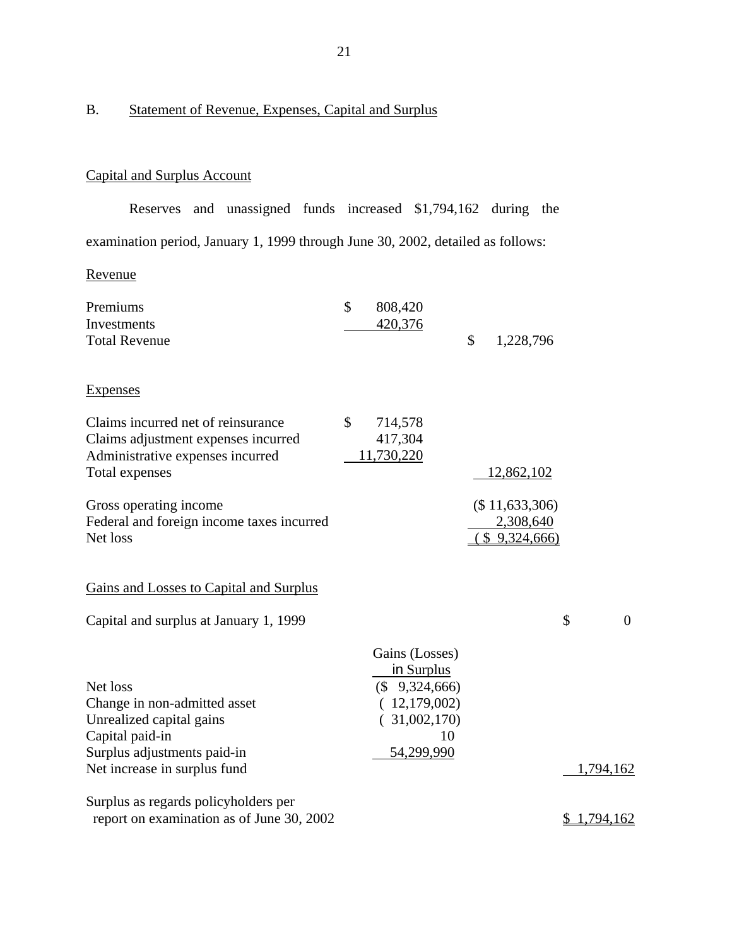## B. Statement of Revenue, Expenses, Capital and Surplus

## Capital and Surplus Account

Reserves and unassigned funds increased \$1,794,162 during the examination period, January 1, 1999 through June 30, 2002, detailed as follows:

Revenue

| Premiums                                                                                                                        | \$           | 808,420                                                                                 |                                              |                      |
|---------------------------------------------------------------------------------------------------------------------------------|--------------|-----------------------------------------------------------------------------------------|----------------------------------------------|----------------------|
| Investments                                                                                                                     |              | 420,376                                                                                 |                                              |                      |
| <b>Total Revenue</b>                                                                                                            |              |                                                                                         | \$<br>1,228,796                              |                      |
| <b>Expenses</b>                                                                                                                 |              |                                                                                         |                                              |                      |
| Claims incurred net of reinsurance<br>Claims adjustment expenses incurred<br>Administrative expenses incurred<br>Total expenses | $\mathbb{S}$ | 714,578<br>417,304<br>11,730,220                                                        | 12,862,102                                   |                      |
| Gross operating income<br>Federal and foreign income taxes incurred<br>Net loss                                                 |              |                                                                                         | (\$11,633,306)<br>2,308,640<br>(\$9,324,666) |                      |
| Gains and Losses to Capital and Surplus                                                                                         |              |                                                                                         |                                              |                      |
| Capital and surplus at January 1, 1999                                                                                          |              |                                                                                         |                                              | \$<br>$\overline{0}$ |
| Net loss<br>Change in non-admitted asset<br>Unrealized capital gains<br>Capital paid-in                                         |              | Gains (Losses)<br>in Surplus<br>$($ \$ 9,324,666)<br>(12,179,002)<br>(31,002,170)<br>10 |                                              |                      |
| Surplus adjustments paid-in<br>Net increase in surplus fund                                                                     |              | 54,299,990                                                                              |                                              | 1,794,162            |
| Surplus as regards policyholders per<br>report on examination as of June 30, 2002                                               |              |                                                                                         |                                              | \$1,794,162          |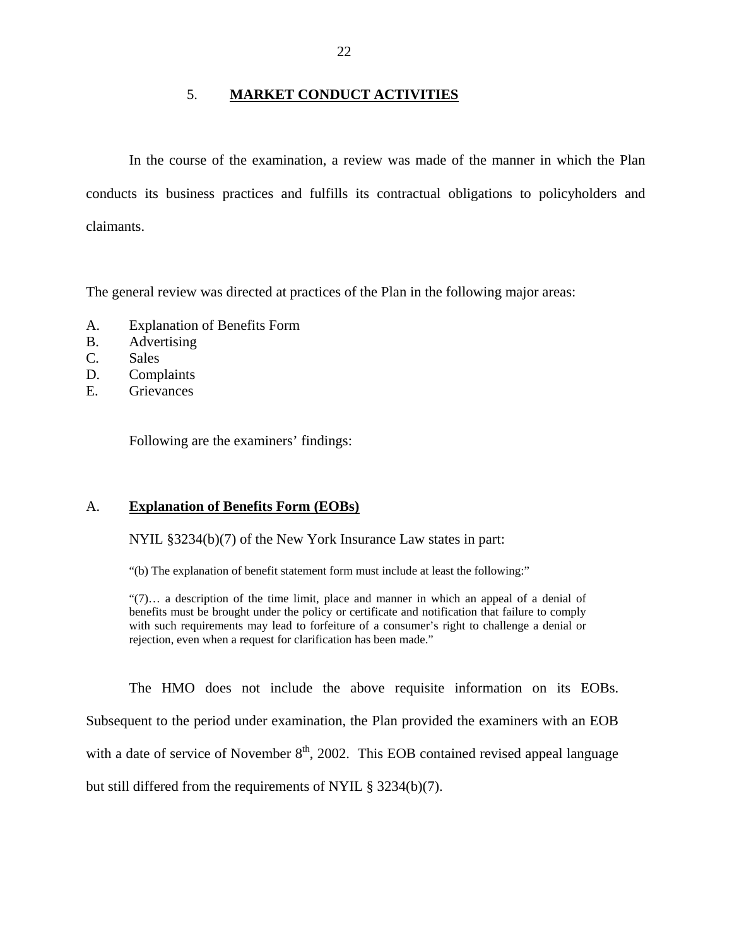## 5. **MARKET CONDUCT ACTIVITIES**

In the course of the examination, a review was made of the manner in which the Plan conducts its business practices and fulfills its contractual obligations to policyholders and claimants.

The general review was directed at practices of the Plan in the following major areas:

- A. Explanation of Benefits Form
- B. Advertising
- C. Sales
- D. Complaints
- E. Grievances

Following are the examiners' findings:

## A. **Explanation of Benefits Form (EOBs)**

NYIL §3234(b)(7) of the New York Insurance Law states in part:

"(b) The explanation of benefit statement form must include at least the following:"

"(7)… a description of the time limit, place and manner in which an appeal of a denial of benefits must be brought under the policy or certificate and notification that failure to comply with such requirements may lead to forfeiture of a consumer's right to challenge a denial or rejection, even when a request for clarification has been made."

The HMO does not include the above requisite information on its EOBs. Subsequent to the period under examination, the Plan provided the examiners with an EOB with a date of service of November  $8<sup>th</sup>$ , 2002. This EOB contained revised appeal language but still differed from the requirements of NYIL § 3234(b)(7).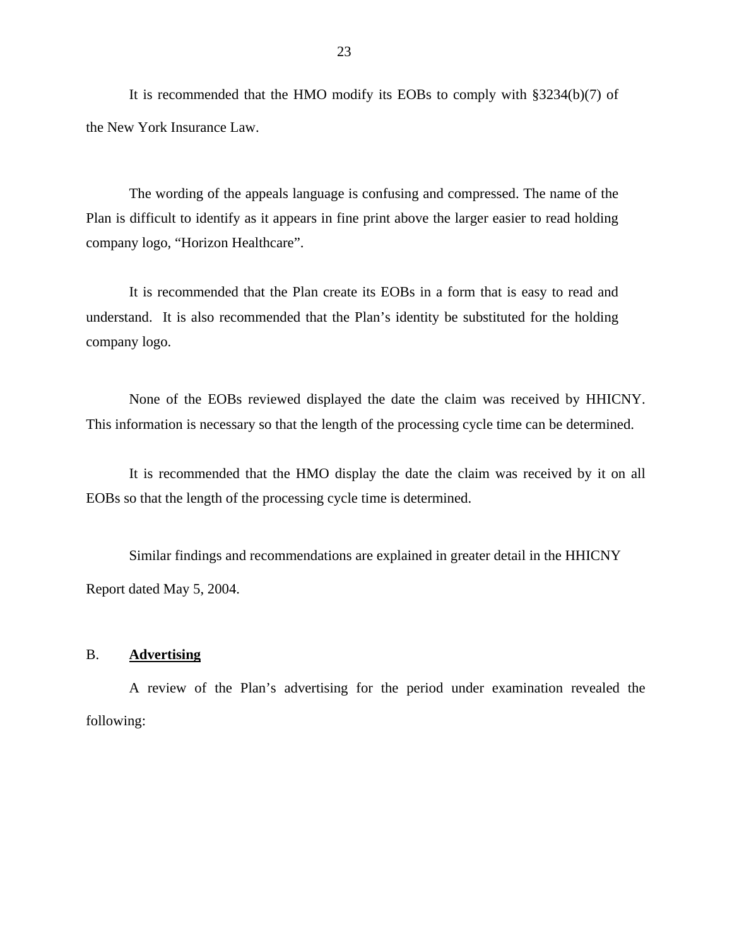It is recommended that the HMO modify its EOBs to comply with §3234(b)(7) of the New York Insurance Law.

The wording of the appeals language is confusing and compressed. The name of the Plan is difficult to identify as it appears in fine print above the larger easier to read holding company logo, "Horizon Healthcare".

It is recommended that the Plan create its EOBs in a form that is easy to read and understand. It is also recommended that the Plan's identity be substituted for the holding company logo.

None of the EOBs reviewed displayed the date the claim was received by HHICNY. This information is necessary so that the length of the processing cycle time can be determined.

It is recommended that the HMO display the date the claim was received by it on all EOBs so that the length of the processing cycle time is determined.

Similar findings and recommendations are explained in greater detail in the HHICNY Report dated May 5, 2004.

### B. **Advertising**

A review of the Plan's advertising for the period under examination revealed the following: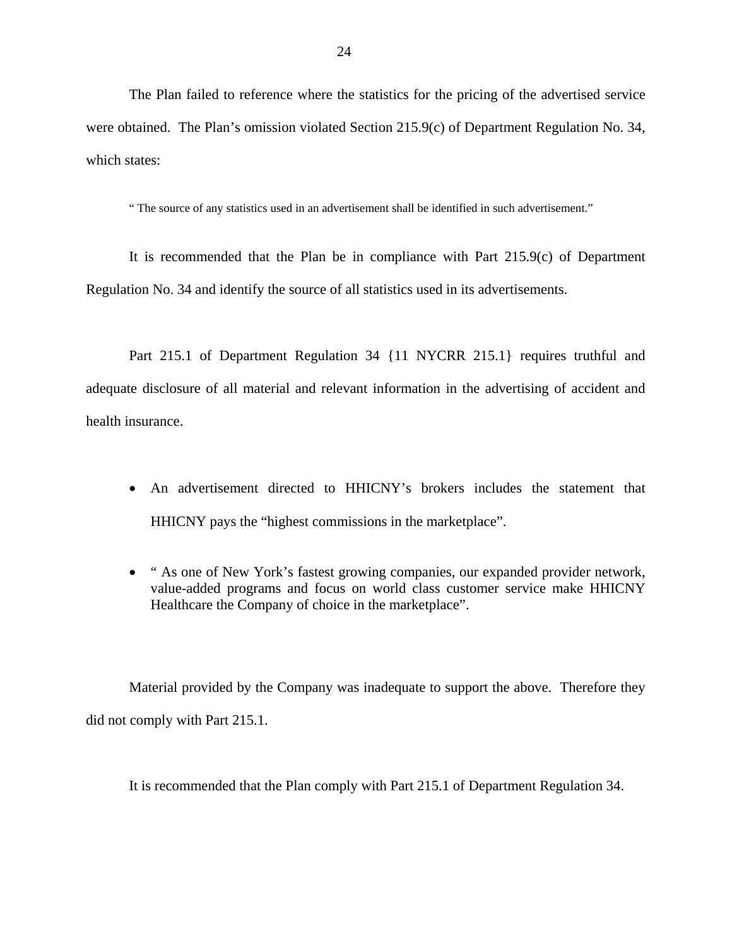The Plan failed to reference where the statistics for the pricing of the advertised service were obtained. The Plan's omission violated Section 215.9(c) of Department Regulation No. 34, which states:

" The source of any statistics used in an advertisement shall be identified in such advertisement."

It is recommended that the Plan be in compliance with Part 215.9(c) of Department Regulation No. 34 and identify the source of all statistics used in its advertisements.

Part 215.1 of Department Regulation 34 {11 NYCRR 215.1} requires truthful and adequate disclosure of all material and relevant information in the advertising of accident and health insurance.

- An advertisement directed to HHICNY's brokers includes the statement that HHICNY pays the "highest commissions in the marketplace".
- " As one of New York's fastest growing companies, our expanded provider network, value-added programs and focus on world class customer service make HHICNY Healthcare the Company of choice in the marketplace".

Material provided by the Company was inadequate to support the above. Therefore they did not comply with Part 215.1.

It is recommended that the Plan comply with Part 215.1 of Department Regulation 34.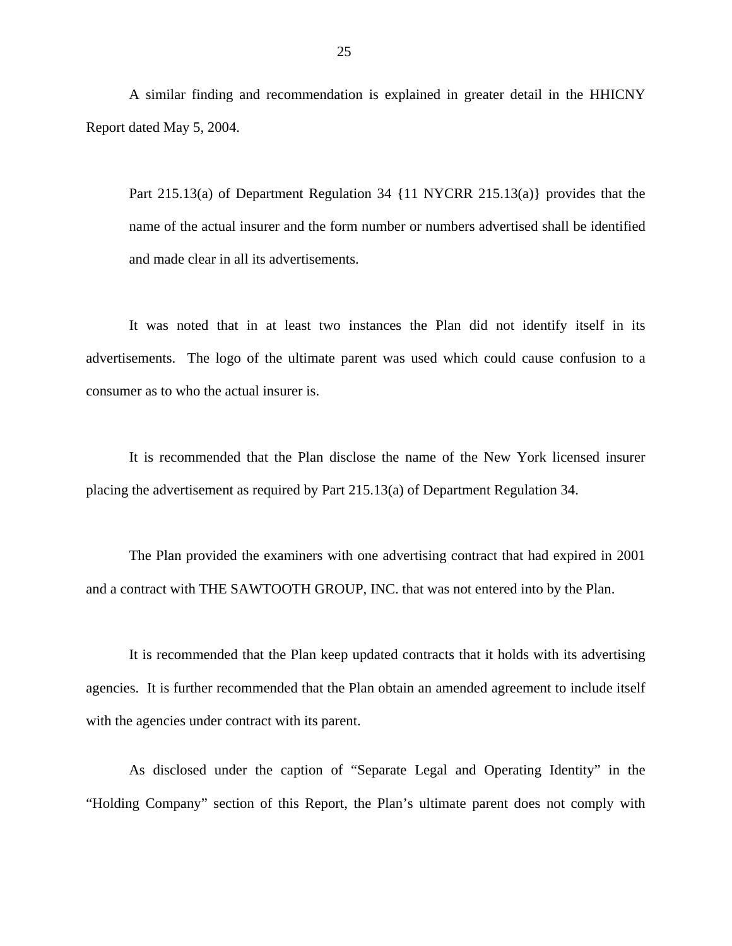A similar finding and recommendation is explained in greater detail in the HHICNY Report dated May 5, 2004.

Part 215.13(a) of Department Regulation 34 {11 NYCRR 215.13(a)} provides that the name of the actual insurer and the form number or numbers advertised shall be identified and made clear in all its advertisements.

It was noted that in at least two instances the Plan did not identify itself in its advertisements. The logo of the ultimate parent was used which could cause confusion to a consumer as to who the actual insurer is.

It is recommended that the Plan disclose the name of the New York licensed insurer placing the advertisement as required by Part 215.13(a) of Department Regulation 34.

The Plan provided the examiners with one advertising contract that had expired in 2001 and a contract with THE SAWTOOTH GROUP, INC. that was not entered into by the Plan.

It is recommended that the Plan keep updated contracts that it holds with its advertising agencies. It is further recommended that the Plan obtain an amended agreement to include itself with the agencies under contract with its parent.

As disclosed under the caption of "Separate Legal and Operating Identity" in the "Holding Company" section of this Report, the Plan's ultimate parent does not comply with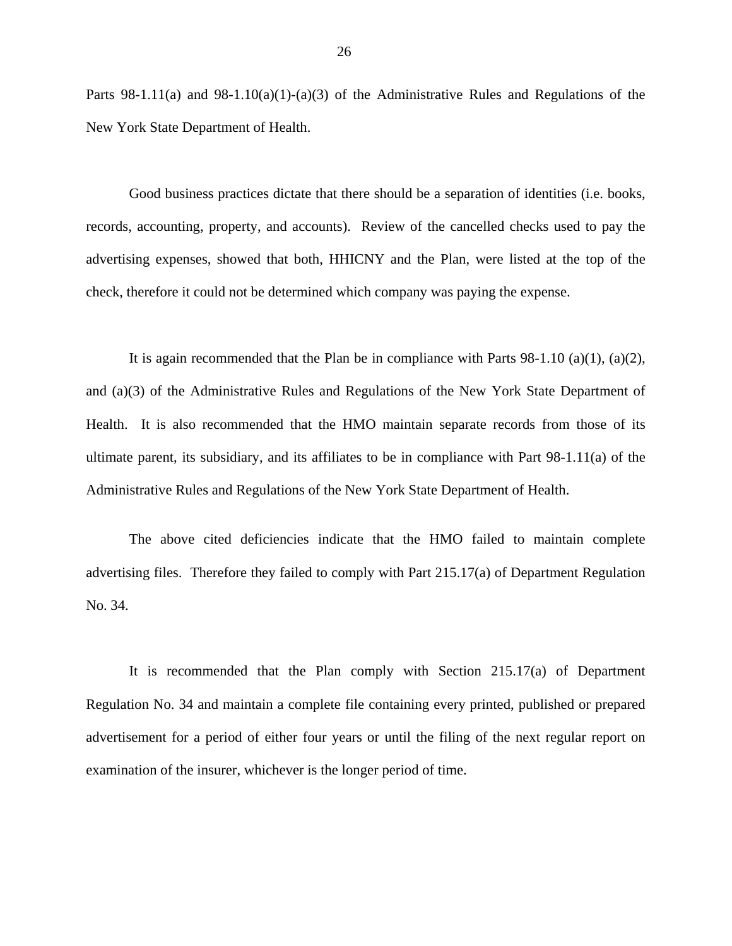Parts 98-1.11(a) and 98-1.10(a)(1)-(a)(3) of the Administrative Rules and Regulations of the New York State Department of Health.

Good business practices dictate that there should be a separation of identities (i.e. books, records, accounting, property, and accounts). Review of the cancelled checks used to pay the advertising expenses, showed that both, HHICNY and the Plan, were listed at the top of the check, therefore it could not be determined which company was paying the expense.

It is again recommended that the Plan be in compliance with Parts  $98-1.10$  (a)(1), (a)(2), and (a)(3) of the Administrative Rules and Regulations of the New York State Department of Health. It is also recommended that the HMO maintain separate records from those of its ultimate parent, its subsidiary, and its affiliates to be in compliance with Part 98-1.11(a) of the Administrative Rules and Regulations of the New York State Department of Health.

The above cited deficiencies indicate that the HMO failed to maintain complete advertising files. Therefore they failed to comply with Part 215.17(a) of Department Regulation No. 34.

It is recommended that the Plan comply with Section 215.17(a) of Department Regulation No. 34 and maintain a complete file containing every printed, published or prepared advertisement for a period of either four years or until the filing of the next regular report on examination of the insurer, whichever is the longer period of time.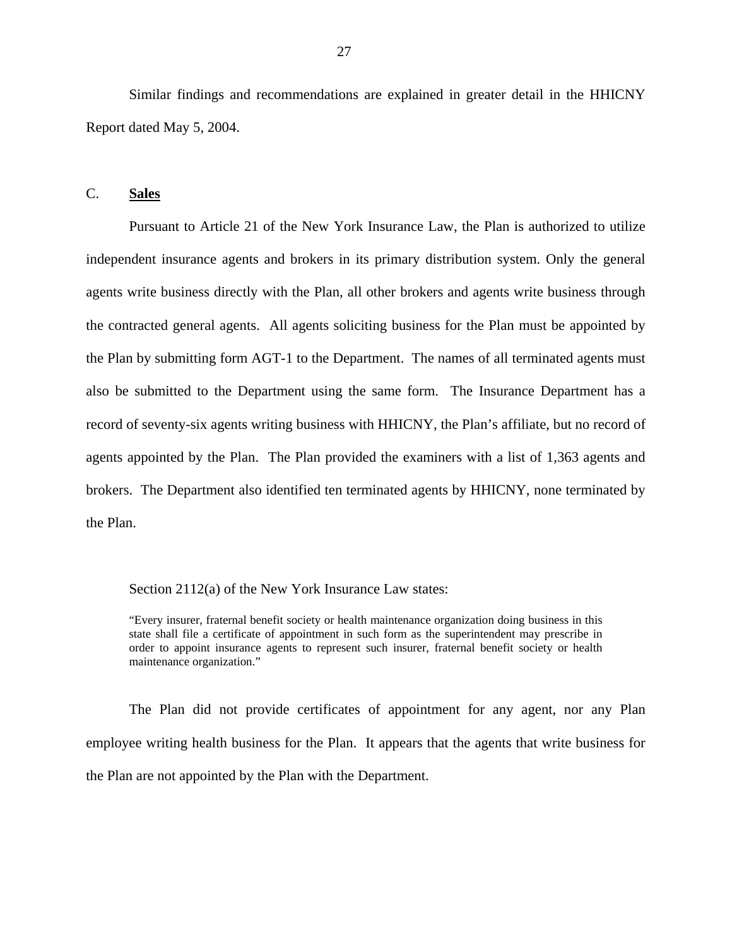Similar findings and recommendations are explained in greater detail in the HHICNY Report dated May 5, 2004.

## C. **Sales**

Pursuant to Article 21 of the New York Insurance Law, the Plan is authorized to utilize independent insurance agents and brokers in its primary distribution system. Only the general agents write business directly with the Plan, all other brokers and agents write business through the contracted general agents. All agents soliciting business for the Plan must be appointed by the Plan by submitting form AGT-1 to the Department. The names of all terminated agents must also be submitted to the Department using the same form. The Insurance Department has a record of seventy-six agents writing business with HHICNY, the Plan's affiliate, but no record of agents appointed by the Plan. The Plan provided the examiners with a list of 1,363 agents and brokers. The Department also identified ten terminated agents by HHICNY, none terminated by the Plan.

Section 2112(a) of the New York Insurance Law states:

"Every insurer, fraternal benefit society or health maintenance organization doing business in this state shall file a certificate of appointment in such form as the superintendent may prescribe in order to appoint insurance agents to represent such insurer, fraternal benefit society or health maintenance organization."

The Plan did not provide certificates of appointment for any agent, nor any Plan employee writing health business for the Plan. It appears that the agents that write business for the Plan are not appointed by the Plan with the Department.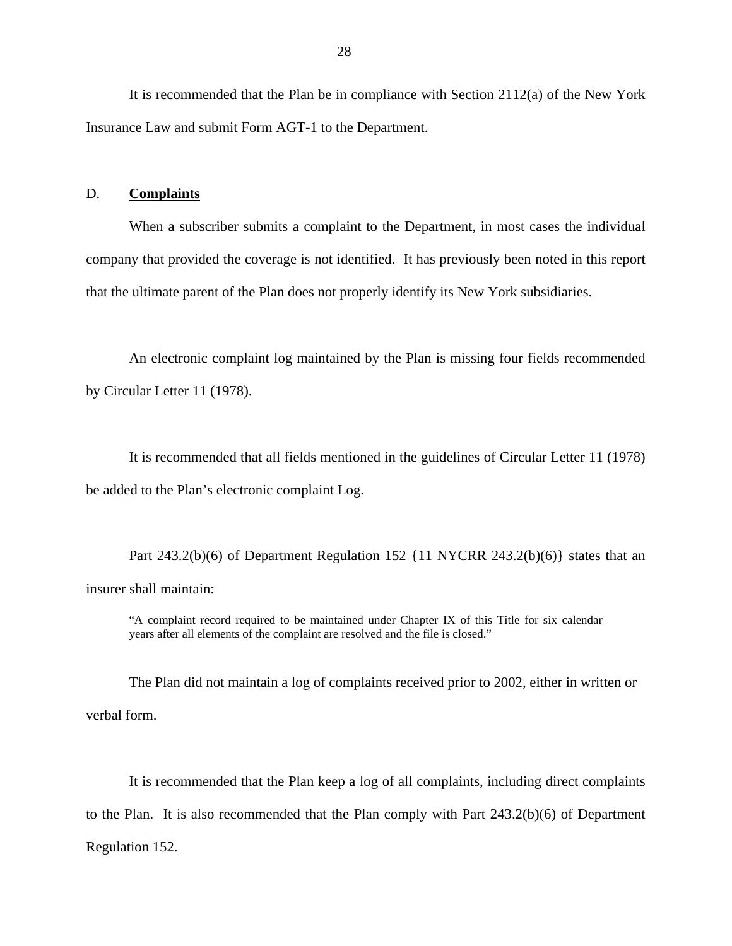It is recommended that the Plan be in compliance with Section 2112(a) of the New York Insurance Law and submit Form AGT-1 to the Department.

#### D. **Complaints**

When a subscriber submits a complaint to the Department, in most cases the individual company that provided the coverage is not identified. It has previously been noted in this report that the ultimate parent of the Plan does not properly identify its New York subsidiaries.

An electronic complaint log maintained by the Plan is missing four fields recommended by Circular Letter 11 (1978).

It is recommended that all fields mentioned in the guidelines of Circular Letter 11 (1978) be added to the Plan's electronic complaint Log.

Part 243.2(b)(6) of Department Regulation 152 {11 NYCRR 243.2(b)(6)} states that an insurer shall maintain:

"A complaint record required to be maintained under Chapter IX of this Title for six calendar years after all elements of the complaint are resolved and the file is closed."

The Plan did not maintain a log of complaints received prior to 2002, either in written or verbal form.

It is recommended that the Plan keep a log of all complaints, including direct complaints to the Plan. It is also recommended that the Plan comply with Part 243.2(b)(6) of Department Regulation 152.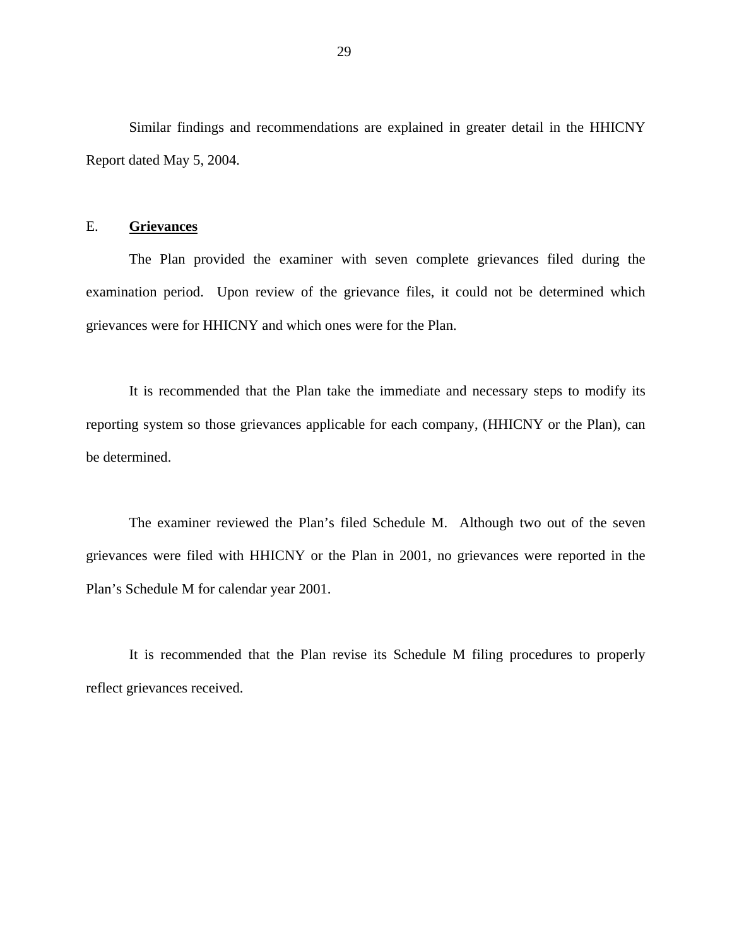Similar findings and recommendations are explained in greater detail in the HHICNY Report dated May 5, 2004.

## E. **Grievances**

The Plan provided the examiner with seven complete grievances filed during the examination period. Upon review of the grievance files, it could not be determined which grievances were for HHICNY and which ones were for the Plan.

It is recommended that the Plan take the immediate and necessary steps to modify its reporting system so those grievances applicable for each company, (HHICNY or the Plan), can be determined.

The examiner reviewed the Plan's filed Schedule M. Although two out of the seven grievances were filed with HHICNY or the Plan in 2001, no grievances were reported in the Plan's Schedule M for calendar year 2001.

It is recommended that the Plan revise its Schedule M filing procedures to properly reflect grievances received.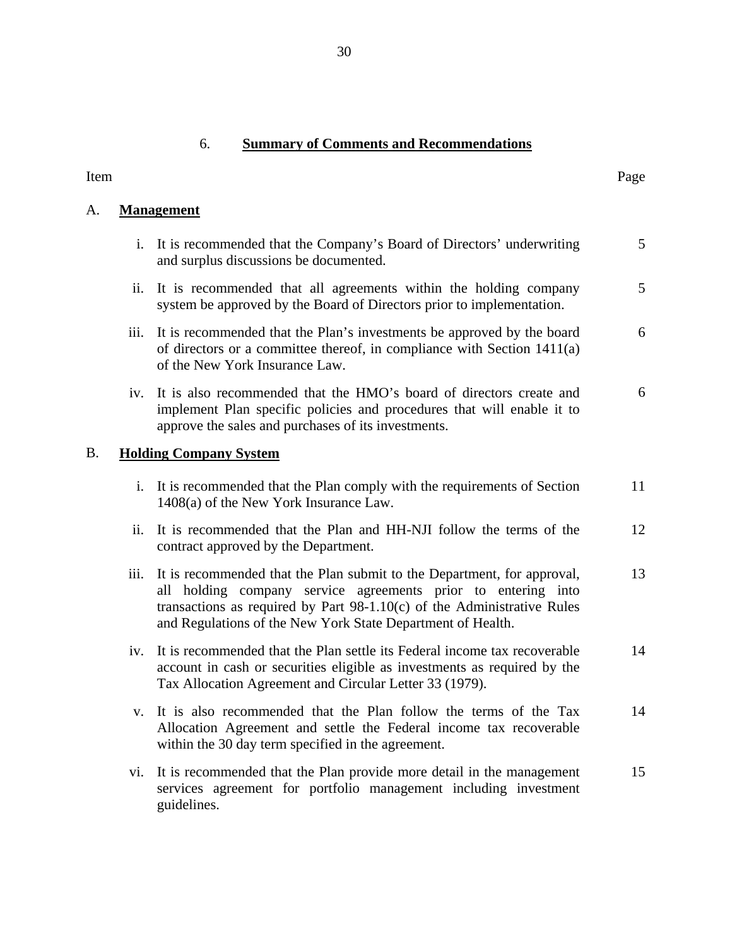## 6. **Summary of Comments and Recommendations**

| Item      |                            |                                                                                                                                                                                                                                                                                      | Page            |
|-----------|----------------------------|--------------------------------------------------------------------------------------------------------------------------------------------------------------------------------------------------------------------------------------------------------------------------------------|-----------------|
| A.        |                            | <b>Management</b>                                                                                                                                                                                                                                                                    |                 |
|           |                            | i. It is recommended that the Company's Board of Directors' underwriting<br>and surplus discussions be documented.                                                                                                                                                                   | $5\overline{)}$ |
|           | $\overline{\mathbf{11}}$ . | It is recommended that all agreements within the holding company<br>system be approved by the Board of Directors prior to implementation.                                                                                                                                            | 5               |
|           | iii.                       | It is recommended that the Plan's investments be approved by the board<br>of directors or a committee thereof, in compliance with Section $1411(a)$<br>of the New York Insurance Law.                                                                                                | 6               |
|           |                            | iv. It is also recommended that the HMO's board of directors create and<br>implement Plan specific policies and procedures that will enable it to<br>approve the sales and purchases of its investments.                                                                             | 6               |
| <b>B.</b> |                            | <b>Holding Company System</b>                                                                                                                                                                                                                                                        |                 |
|           |                            | i. It is recommended that the Plan comply with the requirements of Section<br>1408(a) of the New York Insurance Law.                                                                                                                                                                 | 11              |
|           | ii.                        | It is recommended that the Plan and HH-NJI follow the terms of the<br>contract approved by the Department.                                                                                                                                                                           | 12              |
|           | iii.                       | It is recommended that the Plan submit to the Department, for approval,<br>all holding company service agreements prior to entering into<br>transactions as required by Part $98-1.10(c)$ of the Administrative Rules<br>and Regulations of the New York State Department of Health. | 13              |
|           | iv.                        | It is recommended that the Plan settle its Federal income tax recoverable<br>account in cash or securities eligible as investments as required by the<br>Tax Allocation Agreement and Circular Letter 33 (1979).                                                                     | 14              |
|           |                            | It is also recommended that the Plan follow the terms of the Tax<br>Allocation Agreement and settle the Federal income tax recoverable<br>within the 30 day term specified in the agreement.                                                                                         | 14              |
|           | Vİ.                        | It is recommended that the Plan provide more detail in the management<br>services agreement for portfolio management including investment<br>guidelines.                                                                                                                             | 15              |

## 30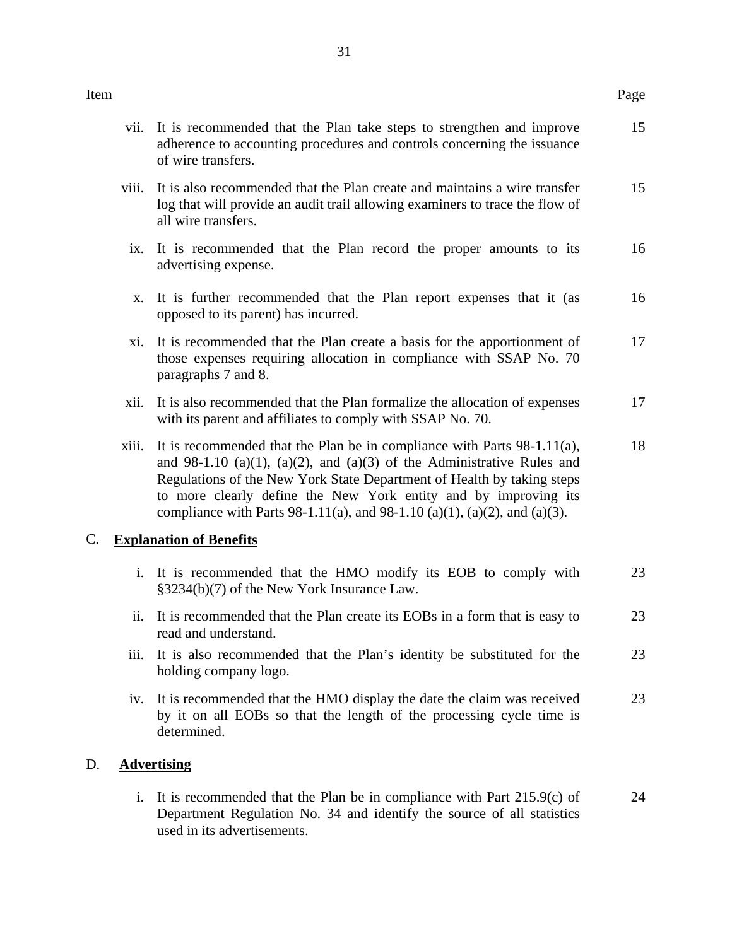| Item |       |                                                                                                                                                                                                                                                                                                                                                                                | Page |
|------|-------|--------------------------------------------------------------------------------------------------------------------------------------------------------------------------------------------------------------------------------------------------------------------------------------------------------------------------------------------------------------------------------|------|
|      |       | vii. It is recommended that the Plan take steps to strengthen and improve<br>adherence to accounting procedures and controls concerning the issuance<br>of wire transfers.                                                                                                                                                                                                     | 15   |
|      | viii. | It is also recommended that the Plan create and maintains a wire transfer<br>log that will provide an audit trail allowing examiners to trace the flow of<br>all wire transfers.                                                                                                                                                                                               | 15   |
|      | ix.   | It is recommended that the Plan record the proper amounts to its<br>advertising expense.                                                                                                                                                                                                                                                                                       | 16   |
|      | X.    | It is further recommended that the Plan report expenses that it (as<br>opposed to its parent) has incurred.                                                                                                                                                                                                                                                                    | 16   |
|      | xi.   | It is recommended that the Plan create a basis for the apportionment of<br>those expenses requiring allocation in compliance with SSAP No. 70<br>paragraphs 7 and 8.                                                                                                                                                                                                           | 17   |
|      | xii.  | It is also recommended that the Plan formalize the allocation of expenses<br>with its parent and affiliates to comply with SSAP No. 70.                                                                                                                                                                                                                                        | 17   |
|      | xiii. | It is recommended that the Plan be in compliance with Parts $98-1.11(a)$ ,<br>and 98-1.10 (a)(1), (a)(2), and (a)(3) of the Administrative Rules and<br>Regulations of the New York State Department of Health by taking steps<br>to more clearly define the New York entity and by improving its<br>compliance with Parts 98-1.11(a), and 98-1.10 (a)(1), (a)(2), and (a)(3). | 18   |
| C.   |       | <b>Explanation of Benefits</b>                                                                                                                                                                                                                                                                                                                                                 |      |
|      |       | i. It is recommended that the HMO modify its EOB to comply with<br>§3234(b)(7) of the New York Insurance Law.                                                                                                                                                                                                                                                                  | 23   |
|      |       | ii. It is recommended that the Plan create its EOBs in a form that is easy to<br>read and understand.                                                                                                                                                                                                                                                                          | 23   |
|      | iii.  | It is also recommended that the Plan's identity be substituted for the<br>holding company logo.                                                                                                                                                                                                                                                                                | 23   |
|      | iv.   | It is recommended that the HMO display the date the claim was received<br>by it on all EOBs so that the length of the processing cycle time is<br>determined.                                                                                                                                                                                                                  | 23   |
| D.   |       | <b>Advertising</b>                                                                                                                                                                                                                                                                                                                                                             |      |
|      |       |                                                                                                                                                                                                                                                                                                                                                                                |      |

i. It is recommended that the Plan be in compliance with Part 215.9(c) of Department Regulation No. 34 and identify the source of all statistics used in its advertisements. 24

 $D.$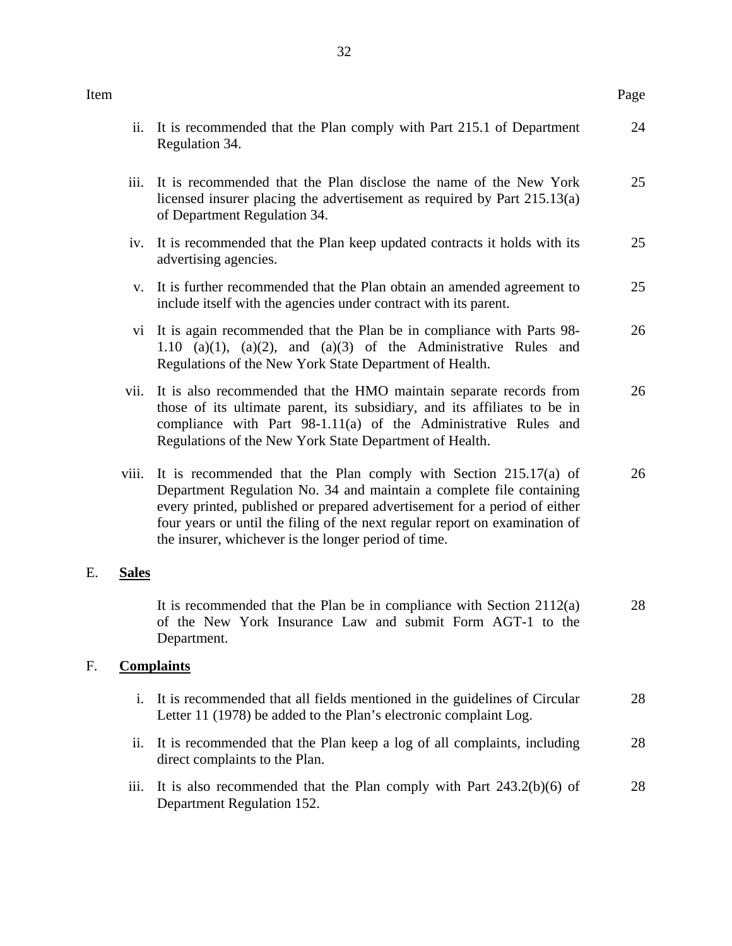| Item |                |                                                                                                                                                                                                                                                                                                                                                                | Page |
|------|----------------|----------------------------------------------------------------------------------------------------------------------------------------------------------------------------------------------------------------------------------------------------------------------------------------------------------------------------------------------------------------|------|
|      | ii.            | It is recommended that the Plan comply with Part 215.1 of Department<br>Regulation 34.                                                                                                                                                                                                                                                                         | 24   |
|      | iii.           | It is recommended that the Plan disclose the name of the New York<br>licensed insurer placing the advertisement as required by Part 215.13(a)<br>of Department Regulation 34.                                                                                                                                                                                  | 25   |
|      | iv.            | It is recommended that the Plan keep updated contracts it holds with its<br>advertising agencies.                                                                                                                                                                                                                                                              | 25   |
|      | $V_{\star}$    | It is further recommended that the Plan obtain an amended agreement to<br>include itself with the agencies under contract with its parent.                                                                                                                                                                                                                     | 25   |
|      |                | vi It is again recommended that the Plan be in compliance with Parts 98-<br>1.10 (a)(1), (a)(2), and (a)(3) of the Administrative Rules and<br>Regulations of the New York State Department of Health.                                                                                                                                                         | 26   |
|      | vii.           | It is also recommended that the HMO maintain separate records from<br>those of its ultimate parent, its subsidiary, and its affiliates to be in<br>compliance with Part 98-1.11(a) of the Administrative Rules and<br>Regulations of the New York State Department of Health.                                                                                  | 26   |
|      | viii.          | It is recommended that the Plan comply with Section $215.17(a)$ of<br>Department Regulation No. 34 and maintain a complete file containing<br>every printed, published or prepared advertisement for a period of either<br>four years or until the filing of the next regular report on examination of<br>the insurer, whichever is the longer period of time. | 26   |
| E.   | <b>Sales</b>   |                                                                                                                                                                                                                                                                                                                                                                |      |
|      |                | It is recommended that the Plan be in compliance with Section $2112(a)$<br>of the New York Insurance Law and submit Form AGT-1 to the<br>Department.                                                                                                                                                                                                           | 28   |
| F.   |                | <b>Complaints</b>                                                                                                                                                                                                                                                                                                                                              |      |
|      | $\mathbf{i}$ . | It is recommended that all fields mentioned in the guidelines of Circular<br>Letter 11 (1978) be added to the Plan's electronic complaint Log.                                                                                                                                                                                                                 | 28   |
|      | ii.            | It is recommended that the Plan keep a log of all complaints, including<br>direct complaints to the Plan.                                                                                                                                                                                                                                                      | 28   |
|      | iii.           | It is also recommended that the Plan comply with Part $243.2(b)(6)$ of<br>Department Regulation 152.                                                                                                                                                                                                                                                           | 28   |

E. **Sales** 

F. **Complaints**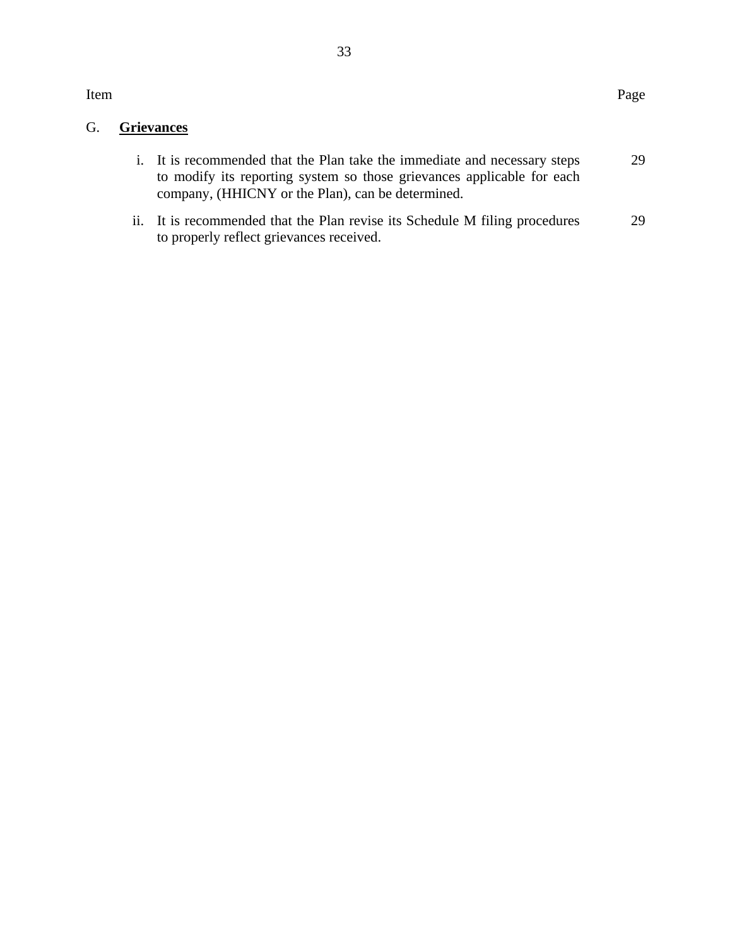Item

## G. **Grievances**

| i. It is recommended that the Plan take the immediate and necessary steps | 29 |
|---------------------------------------------------------------------------|----|
| to modify its reporting system so those grievances applicable for each    |    |
| company, (HHICNY or the Plan), can be determined.                         |    |

ii. It is recommended that the Plan revise its Schedule M filing procedures to properly reflect grievances received. 29